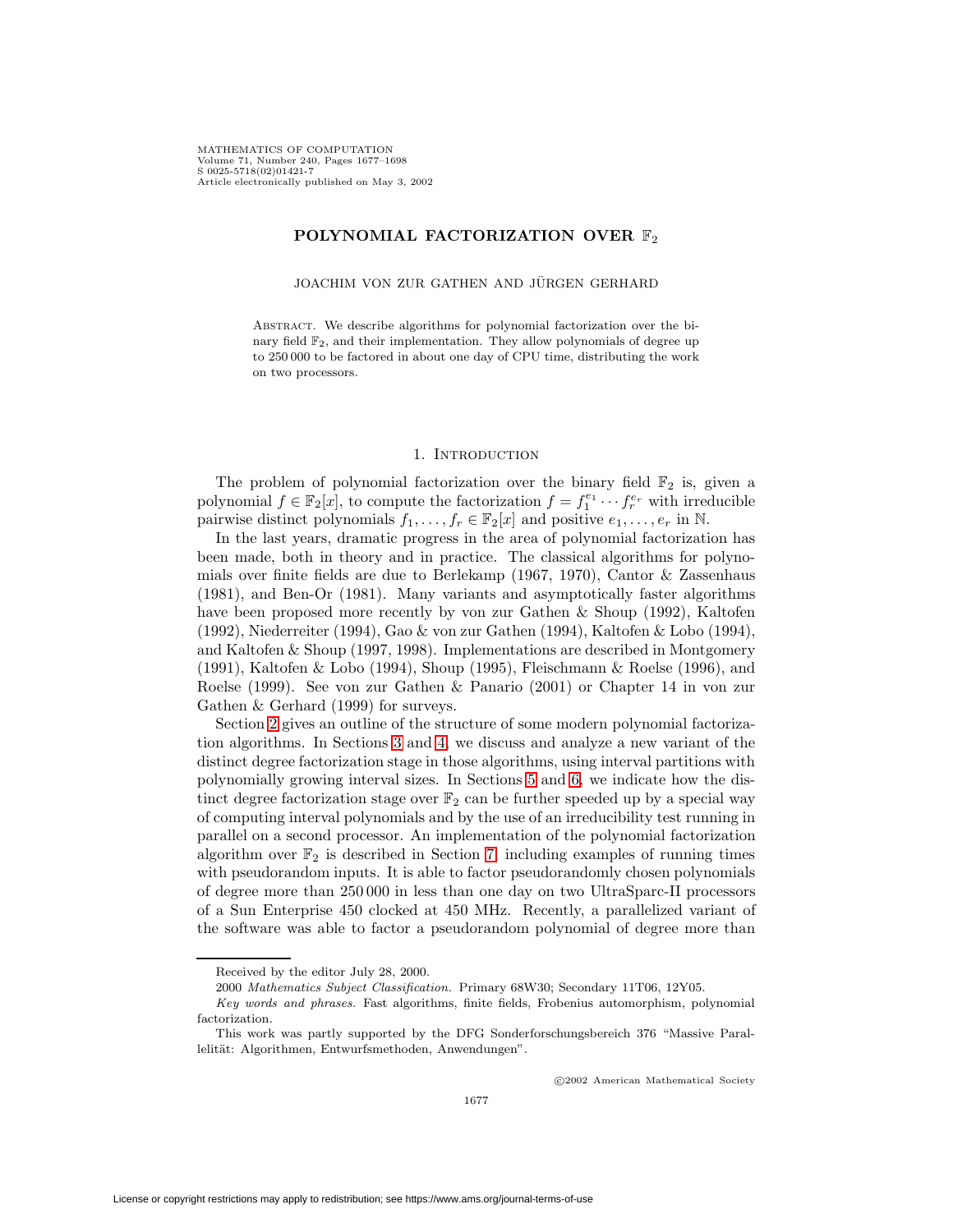## **POLYNOMIAL FACTORIZATION OVER**  $\mathbb{F}_2$

JOACHIM VON ZUR GATHEN AND JÜRGEN GERHARD

Abstract. We describe algorithms for polynomial factorization over the binary field  $\mathbb{F}_2$ , and their implementation. They allow polynomials of degree up to 250 000 to be factored in about one day of CPU time, distributing the work on two processors.

### 1. INTRODUCTION

The problem of polynomial factorization over the binary field  $\mathbb{F}_2$  is, given a polynomial  $f \in \mathbb{F}_2[x]$ , to compute the factorization  $f = f_1^{e_1} \cdots f_r^{e_r}$  with irreducible pairwise distinct polynomials  $f_1, \ldots, f_r \in \mathbb{F}_2[x]$  and positive  $e_1, \ldots, e_r$  in N.

In the last years, dramatic progress in the area of polynomial factorization has been made, both in theory and in practice. The classical algorithms for polynomials over finite fields are due to Berlekamp (1967, 1970), Cantor & Zassenhaus (1981), and Ben-Or (1981). Many variants and asymptotically faster algorithms have been proposed more recently by von zur Gathen & Shoup (1992), Kaltofen (1992), Niederreiter (1994), Gao & von zur Gathen (1994), Kaltofen & Lobo (1994), and Kaltofen & Shoup (1997, 1998). Implementations are described in Montgomery (1991), Kaltofen & Lobo (1994), Shoup (1995), Fleischmann & Roelse (1996), and Roelse (1999). See von zur Gathen & Panario (2001) or Chapter 14 in von zur Gathen & Gerhard (1999) for surveys.

Section [2](#page-1-0) gives an outline of the structure of some modern polynomial factorization algorithms. In Sections [3](#page-2-0) and [4,](#page-5-0) we discuss and analyze a new variant of the distinct degree factorization stage in those algorithms, using interval partitions with polynomially growing interval sizes. In Sections [5](#page-7-0) and [6,](#page-8-0) we indicate how the distinct degree factorization stage over  $\mathbb{F}_2$  can be further speeded up by a special way of computing interval polynomials and by the use of an irreducibility test running in parallel on a second processor. An implementation of the polynomial factorization algorithm over  $\mathbb{F}_2$  is described in Section [7,](#page-9-0) including examples of running times with pseudorandom inputs. It is able to factor pseudorandomly chosen polynomials of degree more than 250 000 in less than one day on two UltraSparc-II processors of a Sun Enterprise 450 clocked at 450 MHz. Recently, a parallelized variant of the software was able to factor a pseudorandom polynomial of degree more than

c 2002 American Mathematical Society

Received by the editor July 28, 2000.

<sup>2000</sup> Mathematics Subject Classification. Primary 68W30; Secondary 11T06, 12Y05.

Key words and phrases. Fast algorithms, finite fields, Frobenius automorphism, polynomial factorization.

This work was partly supported by the DFG Sonderforschungsbereich 376 "Massive Parallelität: Algorithmen, Entwurfsmethoden, Anwendungen".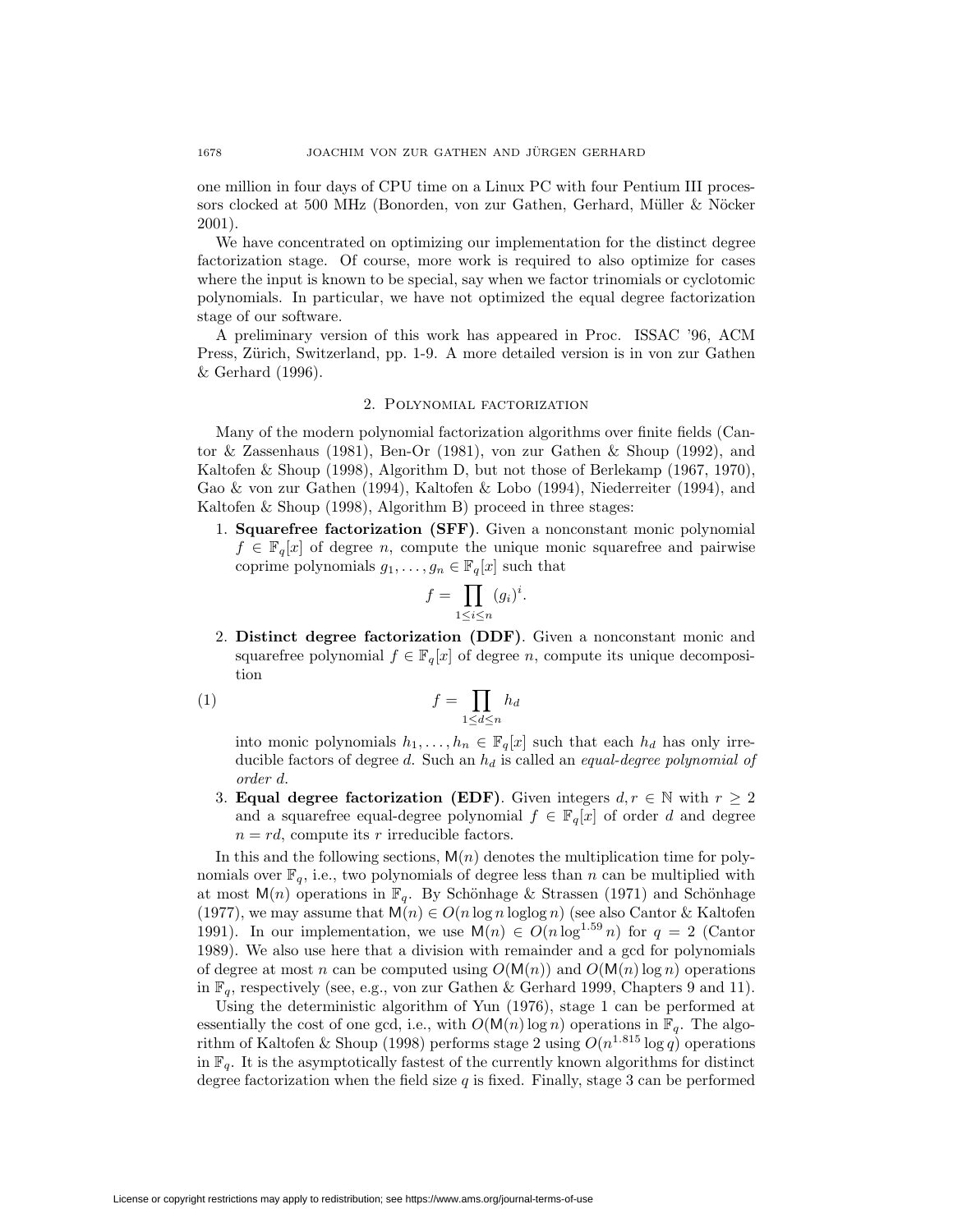one million in four days of CPU time on a Linux PC with four Pentium III processors clocked at 500 MHz (Bonorden, von zur Gathen, Gerhard, Müller & Nöcker 2001).

We have concentrated on optimizing our implementation for the distinct degree factorization stage. Of course, more work is required to also optimize for cases where the input is known to be special, say when we factor trinomials or cyclotomic polynomials. In particular, we have not optimized the equal degree factorization stage of our software.

A preliminary version of this work has appeared in Proc. ISSAC '96, ACM Press, Zürich, Switzerland, pp. 1-9. A more detailed version is in von zur Gathen & Gerhard (1996).

# 2. Polynomial factorization

<span id="page-1-0"></span>Many of the modern polynomial factorization algorithms over finite fields (Cantor & Zassenhaus (1981), Ben-Or (1981), von zur Gathen & Shoup (1992), and Kaltofen & Shoup (1998), Algorithm D, but not those of Berlekamp (1967, 1970), Gao & von zur Gathen (1994), Kaltofen & Lobo (1994), Niederreiter (1994), and Kaltofen & Shoup (1998), Algorithm B) proceed in three stages:

1. **Squarefree factorization (SFF)**. Given a nonconstant monic polynomial  $f \in \mathbb{F}_q[x]$  of degree n, compute the unique monic squarefree and pairwise coprime polynomials  $g_1, \ldots, g_n \in \mathbb{F}_q[x]$  such that

$$
f = \prod_{1 \le i \le n} (g_i)^i.
$$

2. **Distinct degree factorization (DDF)**. Given a nonconstant monic and squarefree polynomial  $f \in \mathbb{F}_q[x]$  of degree n, compute its unique decomposition

<span id="page-1-1"></span>
$$
(1) \t\t f = \prod_{1 \le d \le n} h_d
$$

into monic polynomials  $h_1,\ldots,h_n \in \mathbb{F}_q[x]$  such that each  $h_d$  has only irreducible factors of degree  $d$ . Such an  $h_d$  is called an equal-degree polynomial of order d.

3. **Equal degree factorization (EDF)**. Given integers  $d, r \in \mathbb{N}$  with  $r \geq 2$ and a squarefree equal-degree polynomial  $f \in \mathbb{F}_q[x]$  of order d and degree  $n = rd$ , compute its r irreducible factors.

In this and the following sections,  $M(n)$  denotes the multiplication time for polynomials over  $\mathbb{F}_q$ , i.e., two polynomials of degree less than n can be multiplied with at most  $M(n)$  operations in  $\mathbb{F}_q$ . By Schönhage & Strassen (1971) and Schönhage (1977), we may assume that  $M(n) \in O(n \log n \log \log n)$  (see also Cantor & Kaltofen 1991). In our implementation, we use  $M(n) \in O(n \log^{1.59} n)$  for  $q = 2$  (Cantor 1989). We also use here that a division with remainder and a gcd for polynomials of degree at most n can be computed using  $O(M(n))$  and  $O(M(n) \log n)$  operations in  $\mathbb{F}_q$ , respectively (see, e.g., von zur Gathen & Gerhard 1999, Chapters 9 and 11).

Using the deterministic algorithm of Yun (1976), stage 1 can be performed at essentially the cost of one gcd, i.e., with  $O(M(n) \log n)$  operations in  $\mathbb{F}_q$ . The algorithm of Kaltofen & Shoup (1998) performs stage 2 using  $O(n^{1.815} \log q)$  operations in  $\mathbb{F}_q$ . It is the asymptotically fastest of the currently known algorithms for distinct degree factorization when the field size  $q$  is fixed. Finally, stage 3 can be performed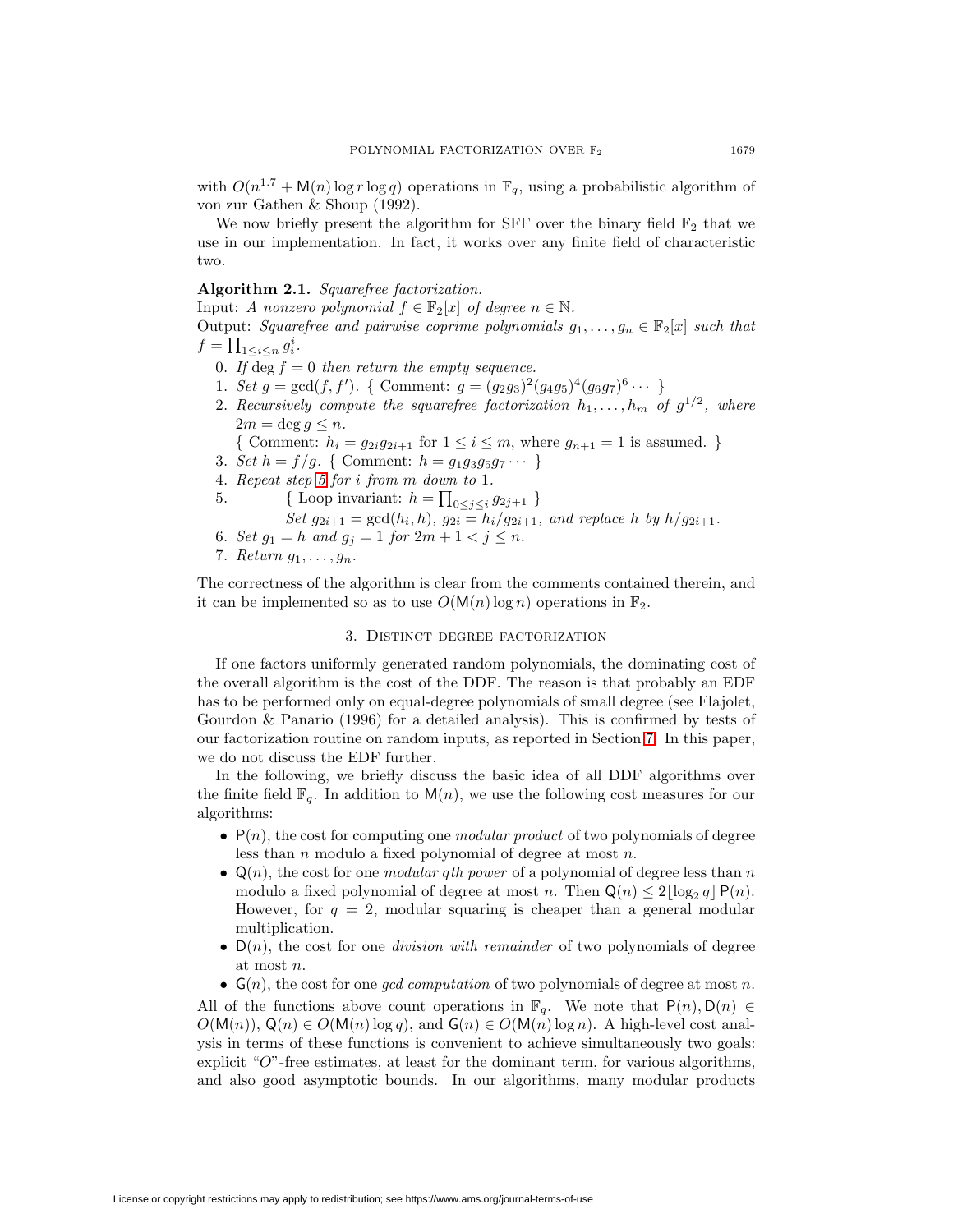with  $O(n^{1.7} + M(n) \log r \log q)$  operations in  $\mathbb{F}_q$ , using a probabilistic algorithm of von zur Gathen & Shoup (1992).

We now briefly present the algorithm for SFF over the binary field  $\mathbb{F}_2$  that we use in our implementation. In fact, it works over any finite field of characteristic two.

# <span id="page-2-2"></span>**Algorithm 2.1.** Squarefree factorization.

Input: A nonzero polynomial  $f \in \mathbb{F}_2[x]$  of degree  $n \in \mathbb{N}$ .

Output: Squarefree and pairwise coprime polynomials  $g_1, \ldots, g_n \in \mathbb{F}_2[x]$  such that  $f = \prod_{1 \leq i \leq n} g_i^i$ .

- 0. If deg  $f = 0$  then return the empty sequence.
- 1. Set  $g = \gcd(f, f')$ . { Comment:  $g = (g_2g_3)^2(g_4g_5)^4(g_6g_7)^6 \cdots$  }
- 2. Recursively compute the squarefree factorization  $h_1, \ldots, h_m$  of  $g^{1/2}$ , where  $2m = \deg g \leq n$ .

{ Comment: 
$$
h_i = g_{2i}g_{2i+1}
$$
 for  $1 \le i \le m$ , where  $g_{n+1} = 1$  is assumed. }

- 3. Set  $h = f/g$ . { Comment:  $h = g_1 g_3 g_5 g_7 \cdots$  }
- <span id="page-2-1"></span>4. Repeat step [5](#page-2-1) for i from m down to 1.
- 5.  $\{\text{Loop invariant: } h = \prod_{0 \le j \le i} g_{2j+1}\}$ 
	- Set  $g_{2i+1} = \gcd(h_i, h), g_{2i} = h_i/g_{2i+1}$ , and replace h by  $h/g_{2i+1}$ .
- 6. Set  $g_1 = h$  and  $g_j = 1$  for  $2m + 1 < j \le n$ .
- 7. Return  $g_1, \ldots, g_n$ .

<span id="page-2-0"></span>The correctness of the algorithm is clear from the comments contained therein, and it can be implemented so as to use  $O(M(n) \log n)$  operations in  $\mathbb{F}_2$ .

## 3. Distinct degree factorization

If one factors uniformly generated random polynomials, the dominating cost of the overall algorithm is the cost of the DDF. The reason is that probably an EDF has to be performed only on equal-degree polynomials of small degree (see Flajolet, Gourdon & Panario (1996) for a detailed analysis). This is confirmed by tests of our factorization routine on random inputs, as reported in Section [7.](#page-9-0) In this paper, we do not discuss the EDF further.

In the following, we briefly discuss the basic idea of all DDF algorithms over the finite field  $\mathbb{F}_q$ . In addition to  $\mathsf{M}(n)$ , we use the following cost measures for our algorithms:

- $P(n)$ , the cost for computing one *modular product* of two polynomials of degree less than  $n$  modulo a fixed polynomial of degree at most  $n$ .
- $\mathsf{Q}(n)$ , the cost for one *modular qth power* of a polynomial of degree less than n modulo a fixed polynomial of degree at most n. Then  $\mathsf{Q}(n) \leq 2|\log_2 q| \mathsf{P}(n)$ . However, for  $q = 2$ , modular squaring is cheaper than a general modular multiplication.
- $D(n)$ , the cost for one *division with remainder* of two polynomials of degree at most n.
- $G(n)$ , the cost for one *gcd computation* of two polynomials of degree at most n.

All of the functions above count operations in  $\mathbb{F}_q$ . We note that  $P(n), D(n) \in$  $O(M(n)), Q(n) \in O(M(n) \log q)$ , and  $G(n) \in O(M(n) \log n)$ . A high-level cost analysis in terms of these functions is convenient to achieve simultaneously two goals: explicit "O"-free estimates, at least for the dominant term, for various algorithms, and also good asymptotic bounds. In our algorithms, many modular products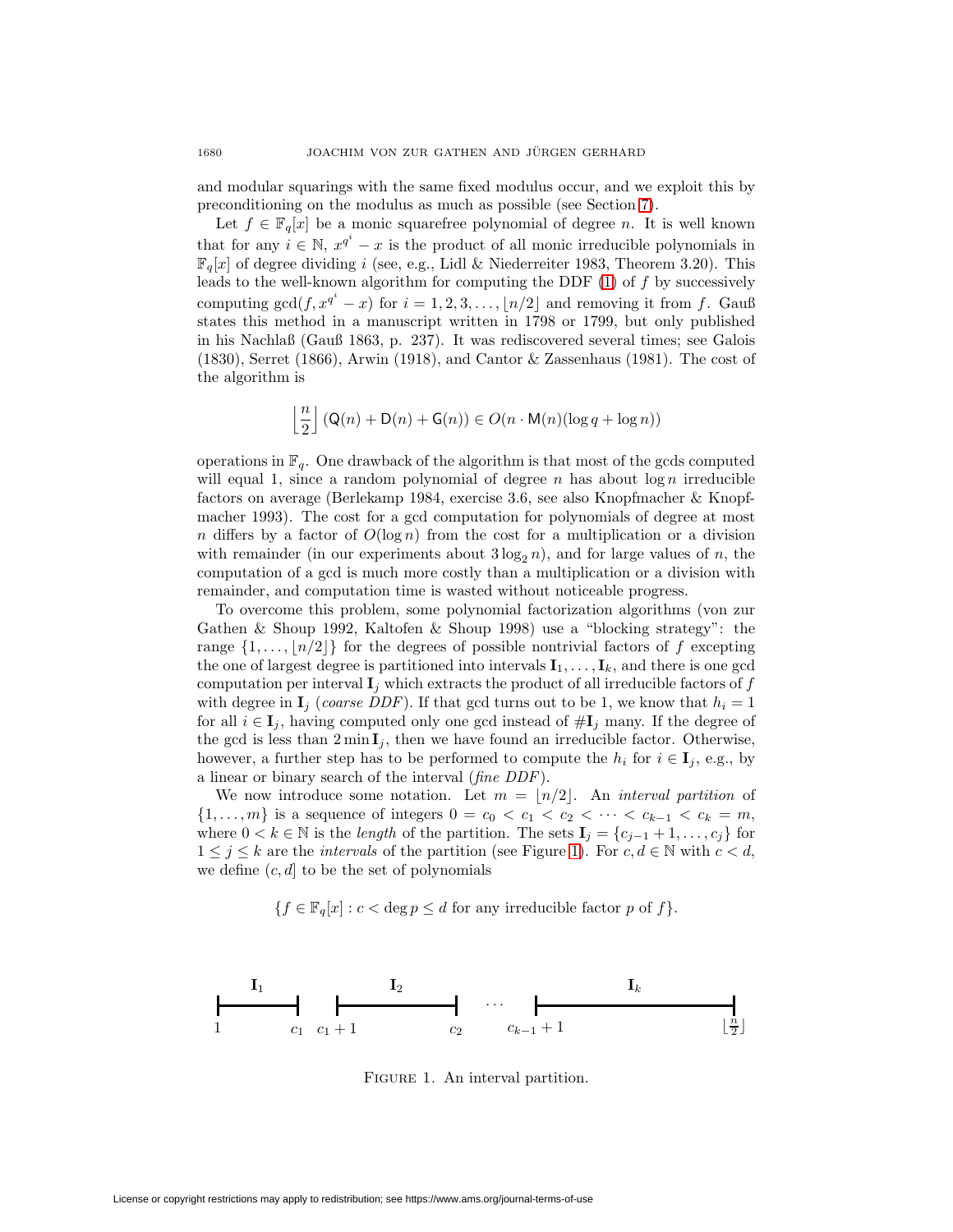and modular squarings with the same fixed modulus occur, and we exploit this by preconditioning on the modulus as much as possible (see Section [7\)](#page-9-0).

Let  $f \in \mathbb{F}_q[x]$  be a monic squarefree polynomial of degree n. It is well known that for any  $i \in \mathbb{N}$ ,  $x^{q^i} - x$  is the product of all monic irreducible polynomials in  $\mathbb{F}_q[x]$  of degree dividing i (see, e.g., Lidl & Niederreiter 1983, Theorem 3.20). This leads to the well-known algorithm for computing the DDF  $(1)$  of f by successively computing  $gcd(f, x^{q^i} - x)$  for  $i = 1, 2, 3, \ldots, \lfloor n/2 \rfloor$  and removing it from f. Gauß states this method in a manuscript written in 1798 or 1799, but only published in his Nachlaß (Gauß 1863, p. 237). It was rediscovered several times; see Galois (1830), Serret (1866), Arwin (1918), and Cantor & Zassenhaus (1981). The cost of the algorithm is

$$
\left\lfloor\frac{n}{2}\right\rfloor(Q(n)+\mathsf{D}(n)+\mathsf{G}(n))\in O(n\cdot \mathsf{M}(n)(\log q+\log n))
$$

operations in  $\mathbb{F}_q$ . One drawback of the algorithm is that most of the gcds computed will equal 1, since a random polynomial of degree n has about  $\log n$  irreducible factors on average (Berlekamp 1984, exercise 3.6, see also Knopfmacher & Knopfmacher 1993). The cost for a gcd computation for polynomials of degree at most n differs by a factor of  $O(\log n)$  from the cost for a multiplication or a division with remainder (in our experiments about  $3 \log_2 n$ ), and for large values of n, the computation of a gcd is much more costly than a multiplication or a division with remainder, and computation time is wasted without noticeable progress.

To overcome this problem, some polynomial factorization algorithms (von zur Gathen & Shoup 1992, Kaltofen & Shoup 1998) use a "blocking strategy": the range  $\{1,\ldots,\lfloor n/2\rfloor\}$  for the degrees of possible nontrivial factors of f excepting the one of largest degree is partitioned into intervals  $\mathbf{I}_1, \ldots, \mathbf{I}_k$ , and there is one gcd computation per interval  $\mathbf{I}_j$  which extracts the product of all irreducible factors of  $f$ with degree in  $\mathbf{I}_j$  (coarse DDF). If that gcd turns out to be 1, we know that  $h_i = 1$ for all  $i \in I_j$ , having computed only one gcd instead of  $\#I_j$  many. If the degree of the gcd is less than  $2 \min I_j$ , then we have found an irreducible factor. Otherwise, however, a further step has to be performed to compute the  $h_i$  for  $i \in I_j$ , e.g., by a linear or binary search of the interval (fine DDF).

We now introduce some notation. Let  $m = \lfloor n/2 \rfloor$ . An *interval partition* of  $\{1,\ldots,m\}$  is a sequence of integers  $0 = c_0 < c_1 < c_2 < \cdots < c_{k-1} < c_k = m$ , where  $0 < k \in \mathbb{N}$  is the *length* of the partition. The sets  $\mathbf{I}_j = \{c_{j-1} + 1, \ldots, c_j\}$  for  $1 \leq j \leq k$  are the *intervals* of the partition (see Figure [1\)](#page-3-0). For  $c, d \in \mathbb{N}$  with  $c < d$ , we define  $(c, d]$  to be the set of polynomials

$$
\{f \in \mathbb{F}_q[x] : c < \deg p \le d \text{ for any irreducible factor } p \text{ of } f\}.
$$



<span id="page-3-0"></span>Figure 1. An interval partition.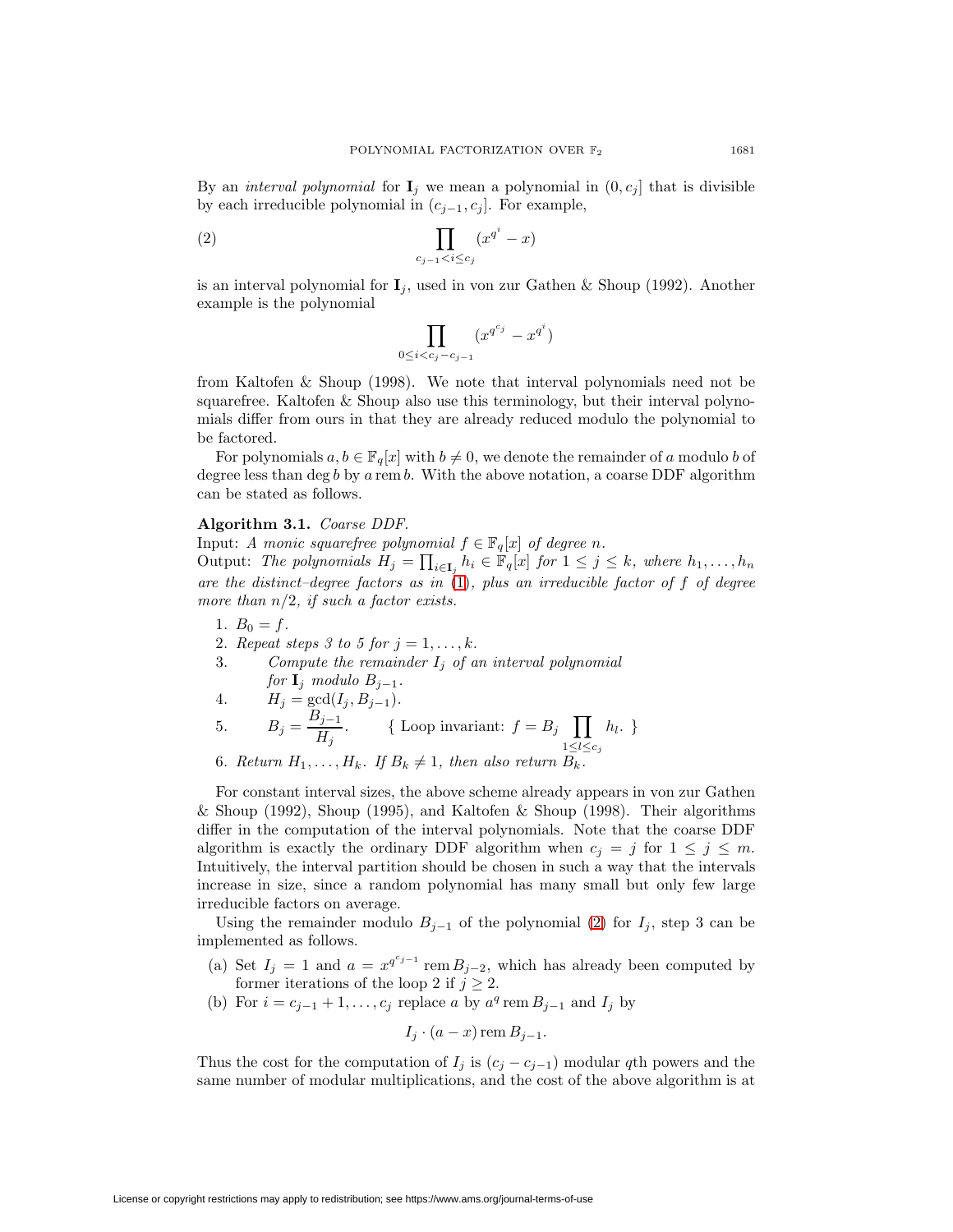<span id="page-4-0"></span>By an *interval polynomial* for  $\mathbf{I}_j$  we mean a polynomial in  $(0, c_j]$  that is divisible by each irreducible polynomial in  $(c_{j-1}, c_j]$ . For example,

$$
(2) \qquad \prod_{c_{j-1} < i \leq c_j} (x^{q^i} - x)
$$

is an interval polynomial for  $I_j$ , used in von zur Gathen & Shoup (1992). Another example is the polynomial

$$
\prod_{0 \le i < c_j - c_{j-1}} (x^{q^{c_j}} - x^{q^i})
$$

from Kaltofen & Shoup (1998). We note that interval polynomials need not be squarefree. Kaltofen & Shoup also use this terminology, but their interval polynomials differ from ours in that they are already reduced modulo the polynomial to be factored.

For polynomials  $a, b \in \mathbb{F}_q[x]$  with  $b \neq 0$ , we denote the remainder of a modulo b of degree less than deg b by a rem b. With the above notation, a coarse DDF algorithm can be stated as follows.

# **Algorithm 3.1.** Coarse DDF.

Input: A monic squarefree polynomial  $f \in \mathbb{F}_q[x]$  of degree n.

Output: The polynomials  $H_j = \prod_{i \in I_j} h_i \in \mathbb{F}_q[x]$  for  $1 \leq j \leq k$ , where  $h_1, \ldots, h_n$ are the distinct–degree factors as in  $(1)$ , plus an irreducible factor of f of degree more than  $n/2$ , if such a factor exists.

- 1.  $B_0 = f$ .
- 2. Repeat steps 3 to 5 for  $j = 1, \ldots, k$ .
- 3. Compute the remainder  $I_j$  of an interval polynomial for  $\mathbf{I}_j$  modulo  $B_{j-1}$ .
- 4.  $H_j = \gcd(I_j, B_{j-1}).$ 5.  $B_j = \frac{B_{j-1}}{H_j}$ . {Loop invariant:  $f = B_j \prod_{1 \leq i \leq j}$  $1 \leq l \leq c_j$  $h_l.$  }
- 6. Return  $H_1, \ldots, H_k$ . If  $B_k \neq 1$ , then also return  $B_k$ .

For constant interval sizes, the above scheme already appears in von zur Gathen  $\&$  Shoup (1992), Shoup (1995), and Kaltofen  $\&$  Shoup (1998). Their algorithms differ in the computation of the interval polynomials. Note that the coarse DDF algorithm is exactly the ordinary DDF algorithm when  $c_i = j$  for  $1 \leq j \leq m$ . Intuitively, the interval partition should be chosen in such a way that the intervals increase in size, since a random polynomial has many small but only few large irreducible factors on average.

Using the remainder modulo  $B_{j-1}$  of the polynomial [\(2\)](#page-4-0) for  $I_j$ , step 3 can be implemented as follows.

- (a) Set  $I_j = 1$  and  $a = x^{q^{c_j-1}}$  rem  $B_{j-2}$ , which has already been computed by former iterations of the loop 2 if  $j \geq 2$ .
- (b) For  $i = c_{j-1} + 1, \ldots, c_j$  replace a by  $a^q$  rem  $B_{j-1}$  and  $I_j$  by

$$
I_j \cdot (a-x) \operatorname{rem} B_{j-1}.
$$

Thus the cost for the computation of  $I_j$  is  $(c_j - c_{j-1})$  modular qth powers and the same number of modular multiplications, and the cost of the above algorithm is at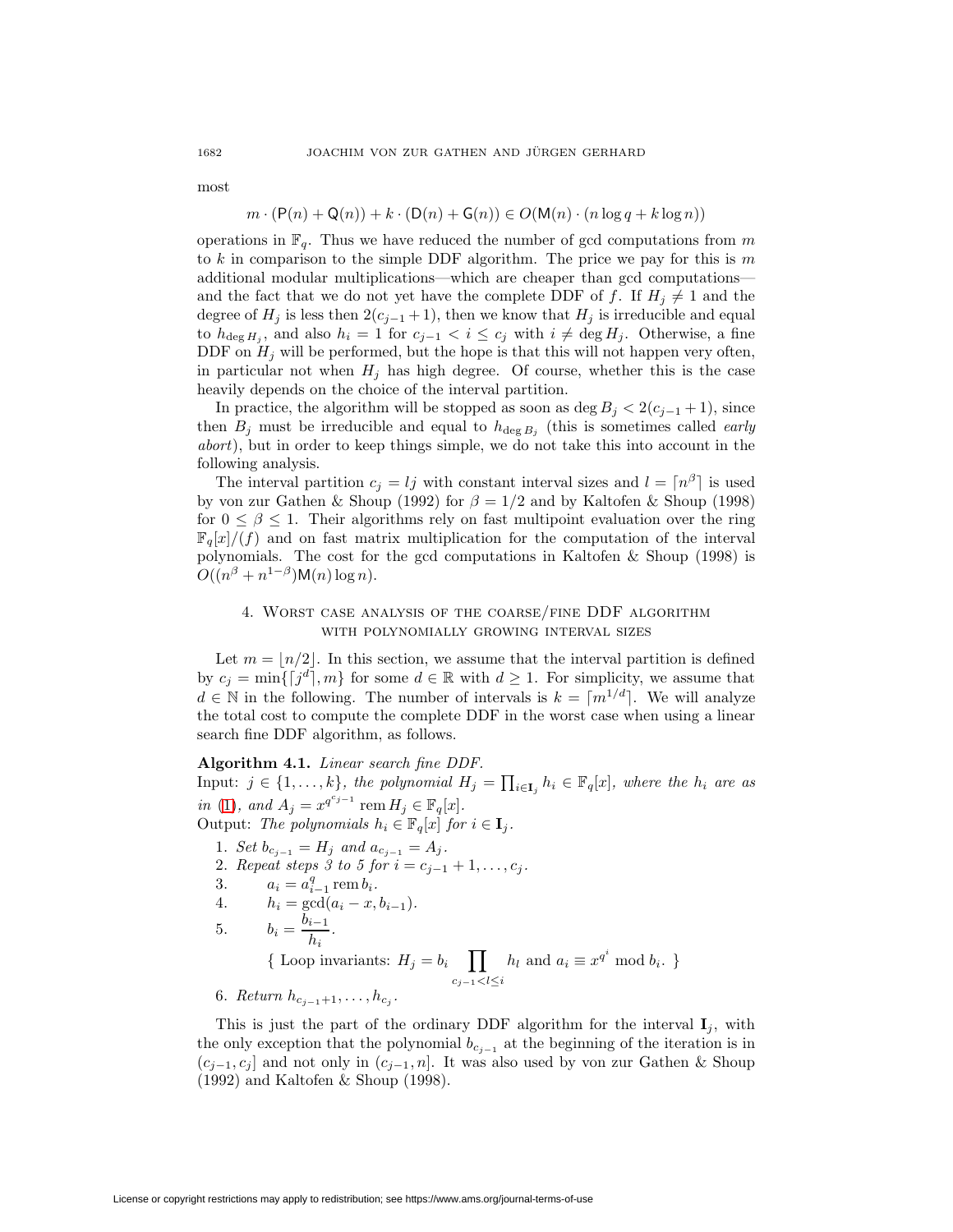most

$$
m \cdot (\mathsf{P}(n) + \mathsf{Q}(n)) + k \cdot (\mathsf{D}(n) + \mathsf{G}(n)) \in O(\mathsf{M}(n) \cdot (n \log q + k \log n))
$$

operations in  $\mathbb{F}_q$ . Thus we have reduced the number of gcd computations from m to k in comparison to the simple DDF algorithm. The price we pay for this is  $m$ additional modular multiplications—which are cheaper than gcd computations and the fact that we do not yet have the complete DDF of f. If  $H_j \neq 1$  and the degree of  $H_j$  is less then  $2(c_{j-1}+1)$ , then we know that  $H_j$  is irreducible and equal to  $h_{\deg H_i}$ , and also  $h_i = 1$  for  $c_{j-1} < i \leq c_j$  with  $i \neq \deg H_j$ . Otherwise, a fine DDF on  $H_i$  will be performed, but the hope is that this will not happen very often, in particular not when  $H_j$  has high degree. Of course, whether this is the case heavily depends on the choice of the interval partition.

In practice, the algorithm will be stopped as soon as deg  $B_j < 2(c_{j-1} + 1)$ , since then  $B_j$  must be irreducible and equal to  $h_{\deg B_j}$  (this is sometimes called *early* abort), but in order to keep things simple, we do not take this into account in the following analysis.

The interval partition  $c_j = l_j$  with constant interval sizes and  $l = \lceil n^{\beta} \rceil$  is used by von zur Gathen & Shoup (1992) for  $\beta = 1/2$  and by Kaltofen & Shoup (1998) for  $0 \leq \beta \leq 1$ . Their algorithms rely on fast multipoint evaluation over the ring  $\mathbb{F}_q[x]/(f)$  and on fast matrix multiplication for the computation of the interval polynomials. The cost for the gcd computations in Kaltofen & Shoup (1998) is  $O((n^{\beta}+n^{1-\beta}){\sf M}(n)\log n).$ 

# 4. Worst case analysis of the coarse/fine DDF algorithm with polynomially growing interval sizes

<span id="page-5-0"></span>Let  $m = \lfloor n/2 \rfloor$ . In this section, we assume that the interval partition is defined by  $c_j = \min\{[j^d], m\}$  for some  $d \in \mathbb{R}$  with  $d \geq 1$ . For simplicity, we assume that  $d \in \mathbb{N}$  in the following. The number of intervals is  $k = \lceil m^{1/d} \rceil$ . We will analyze the total cost to compute the complete DDF in the worst case when using a linear search fine DDF algorithm, as follows.

# **Algorithm 4.1.** Linear search fine DDF.

Input:  $j \in \{1, ..., k\}$ , the polynomial  $H_j = \prod_{i \in I_j} h_i \in \mathbb{F}_q[x]$ , where the  $h_i$  are as in [\(1\)](#page-1-1), and  $A_j = x^{q^{c_{j-1}}}$  rem  $H_j \in \mathbb{F}_q[x]$ . Output: The polynomials  $h_i \in \mathbb{F}_q[x]$  for  $i \in \mathbf{I}_j$ .

- 1. Set  $b_{c_{j-1}} = H_j$  and  $a_{c_{j-1}} = A_j$ .
- 2. Repeat steps 3 to 5 for  $i = c_{j-1} + 1, \ldots, c_j$ .
- 3.  $a_i = a_{i-1}^q \text{ rem } b_i.$

4. 
$$
h_i = \gcd(a_i - x, b_{i-1}).
$$

- 5.  $b_i = \frac{b_{i-1}}{h_i}.$ {Loop invariants:  $H_j = b_i$  $c_{j-1} < l \leq i$  $h_l$  and  $a_i \equiv x^{q^i} \mod b_i$ . }
- 6. Return  $h_{c_{i-1}+1},\ldots,h_{c_i}$ .

This is just the part of the ordinary DDF algorithm for the interval  $I_i$ , with the only exception that the polynomial  $b_{c_{i-1}}$  at the beginning of the iteration is in  $(c_{j-1}, c_j]$  and not only in  $(c_{j-1}, n]$ . It was also used by von zur Gathen & Shoup (1992) and Kaltofen & Shoup (1998).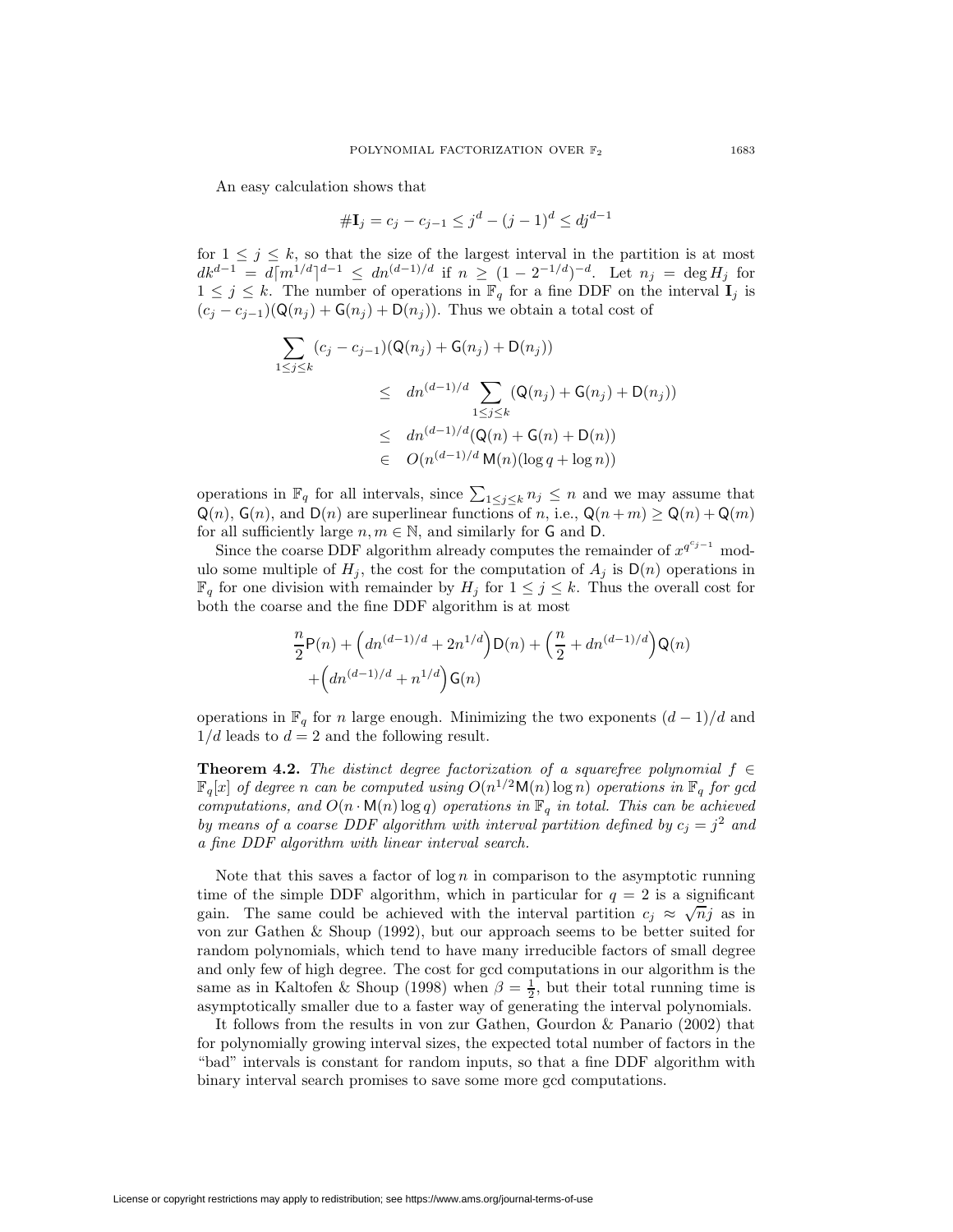An easy calculation shows that

$$
\# \mathbf{I}_j = c_j - c_{j-1} \le j^d - (j-1)^d \le dj^{d-1}
$$

for  $1 \leq j \leq k$ , so that the size of the largest interval in the partition is at most  $dk^{d-1} = d[m^{1/d}]^{d-1} \leq dn^{(d-1)/d}$  if  $n \geq (1 - 2^{-1/d})^{-d}$ . Let  $n_j = \deg H_j$  for  $1 \leq j \leq k$ . The number of operations in  $\mathbb{F}_q$  for a fine DDF on the interval  $\mathbf{I}_j$  is  $(c_i - c_{i-1}) (Q(n_i) + G(n_i) + D(n_i))$ . Thus we obtain a total cost of

$$
\sum_{1 \le j \le k} (c_j - c_{j-1}) (\mathsf{Q}(n_j) + \mathsf{G}(n_j) + \mathsf{D}(n_j))
$$
\n
$$
\le d n^{(d-1)/d} \sum_{1 \le j \le k} (\mathsf{Q}(n_j) + \mathsf{G}(n_j) + \mathsf{D}(n_j))
$$
\n
$$
\le d n^{(d-1)/d} (\mathsf{Q}(n) + \mathsf{G}(n) + \mathsf{D}(n))
$$
\n
$$
\in O(n^{(d-1)/d} \mathsf{M}(n) (\log q + \log n))
$$

operations in  $\mathbb{F}_q$  for all intervals, since  $\sum_{1 \leq j \leq k} n_j \leq n$  and we may assume that  $Q(n)$ ,  $G(n)$ , and  $D(n)$  are superlinear functions of n, i.e.,  $Q(n+m) \geq Q(n) + Q(m)$ for all sufficiently large  $n, m \in \mathbb{N}$ , and similarly for G and D.

Since the coarse DDF algorithm already computes the remainder of  $x^{q^{c_{j-1}}}$  modulo some multiple of  $H_i$ , the cost for the computation of  $A_i$  is  $D(n)$  operations in  $\mathbb{F}_q$  for one division with remainder by  $H_j$  for  $1 \leq j \leq k$ . Thus the overall cost for both the coarse and the fine DDF algorithm is at most

$$
\frac{n}{2}\mathsf{P}(n) + \left(dn^{(d-1)/d} + 2n^{1/d}\right)\mathsf{D}(n) + \left(\frac{n}{2} + dn^{(d-1)/d}\right)\mathsf{Q}(n) + \left(dn^{(d-1)/d} + n^{1/d}\right)\mathsf{G}(n)
$$

operations in  $\mathbb{F}_q$  for n large enough. Minimizing the two exponents  $(d-1)/d$  and  $1/d$  leads to  $d = 2$  and the following result.

**Theorem 4.2.** The distinct degree factorization of a squarefree polynomial  $f \in$  $\mathbb{F}_q[x]$  of degree n can be computed using  $O(n^{1/2}M(n) \log n)$  operations in  $\mathbb{F}_q$  for gcd computations, and  $O(n \cdot M(n) \log q)$  operations in  $\mathbb{F}_q$  in total. This can be achieved by means of a coarse DDF algorithm with interval partition defined by  $c_j = j^2$  and a fine DDF algorithm with linear interval search.

Note that this saves a factor of  $\log n$  in comparison to the asymptotic running time of the simple DDF algorithm, which in particular for  $q = 2$  is a significant gain. The same could be achieved with the interval partition  $c_j \approx \sqrt{n}j$  as in von zur Gathen & Shoup (1992), but our approach seems to be better suited for random polynomials, which tend to have many irreducible factors of small degree and only few of high degree. The cost for gcd computations in our algorithm is the same as in Kaltofen & Shoup (1998) when  $\beta = \frac{1}{2}$ , but their total running time is asymptotically smaller due to a faster way of generating the interval polynomials.

It follows from the results in von zur Gathen, Gourdon & Panario (2002) that for polynomially growing interval sizes, the expected total number of factors in the "bad" intervals is constant for random inputs, so that a fine DDF algorithm with binary interval search promises to save some more gcd computations.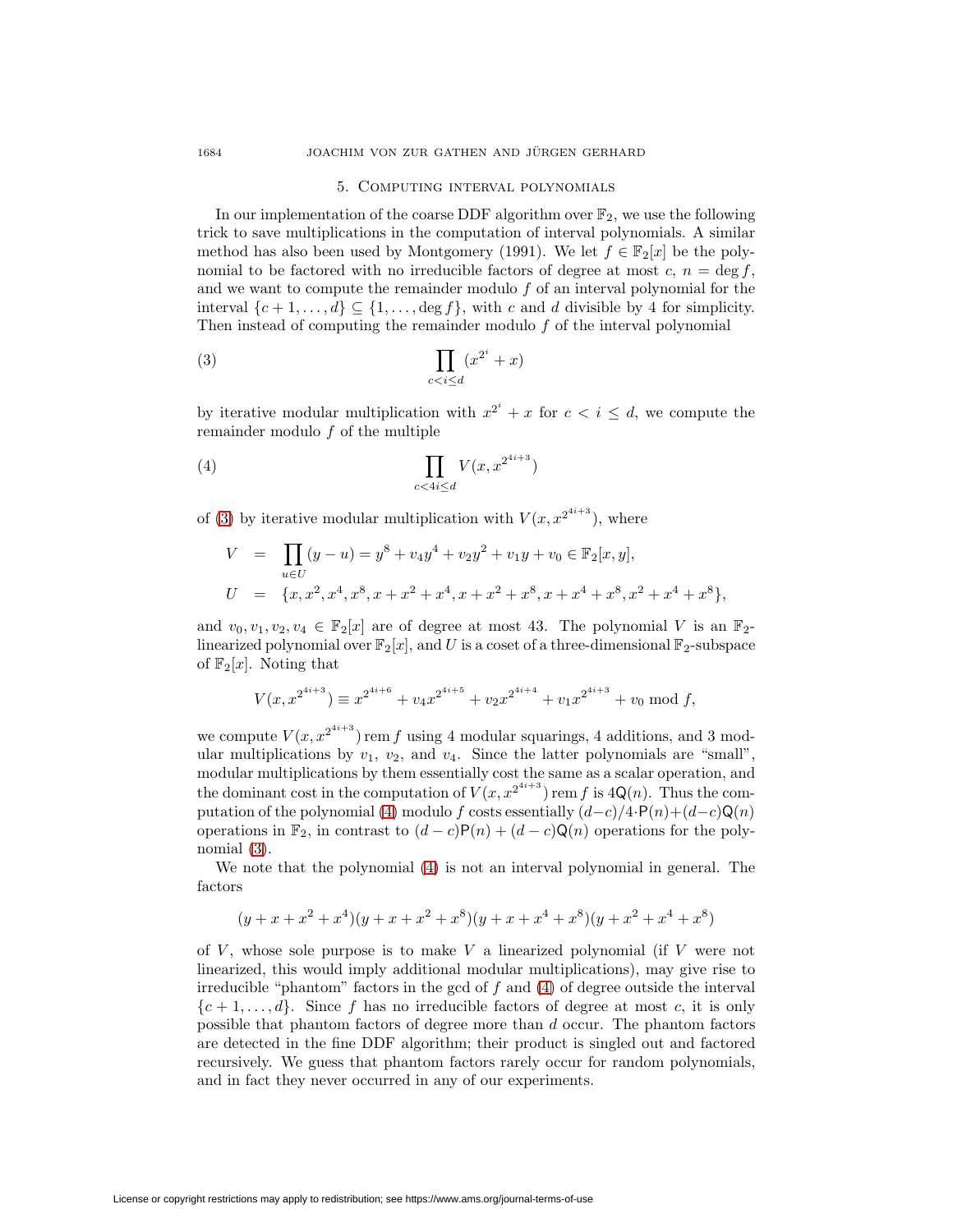## 5. Computing interval polynomials

<span id="page-7-0"></span>In our implementation of the coarse DDF algorithm over  $\mathbb{F}_2$ , we use the following trick to save multiplications in the computation of interval polynomials. A similar method has also been used by Montgomery (1991). We let  $f \in \mathbb{F}_2[x]$  be the polynomial to be factored with no irreducible factors of degree at most  $c, n = \deg f$ , and we want to compute the remainder modulo f of an interval polynomial for the interval  $\{c+1,\ldots,d\} \subseteq \{1,\ldots,\deg f\}$ , with c and d divisible by 4 for simplicity. Then instead of computing the remainder modulo  $f$  of the interval polynomial

<span id="page-7-1"></span>
$$
(3) \qquad \prod_{c
$$

by iterative modular multiplication with  $x^{2^i} + x$  for  $c < i \leq d$ , we compute the remainder modulo f of the multiple

<span id="page-7-2"></span>
$$
(4) \qquad \qquad \prod_{c
$$

of [\(3\)](#page-7-1) by iterative modular multiplication with  $V(x, x^{2^{4i+3}})$ , where

$$
V = \prod_{u \in U} (y - u) = y^8 + v_4 y^4 + v_2 y^2 + v_1 y + v_0 \in \mathbb{F}_2[x, y],
$$
  
\n
$$
U = \{x, x^2, x^4, x^8, x + x^2 + x^4, x + x^2 + x^8, x + x^4 + x^8, x^2 + x^4 + x^8\},\
$$

and  $v_0, v_1, v_2, v_4 \in \mathbb{F}_2[x]$  are of degree at most 43. The polynomial V is an  $\mathbb{F}_2$ linearized polynomial over  $\mathbb{F}_2[x]$ , and U is a coset of a three-dimensional  $\mathbb{F}_2$ -subspace of  $\mathbb{F}_2[x]$ . Noting that

$$
V(x, x^{2^{4i+3}}) \equiv x^{2^{4i+6}} + v_4 x^{2^{4i+5}} + v_2 x^{2^{4i+4}} + v_1 x^{2^{4i+3}} + v_0 \mod f,
$$

we compute  $V(x, x^{2^{4i+3}})$  rem f using 4 modular squarings, 4 additions, and 3 modular multiplications by  $v_1$ ,  $v_2$ , and  $v_4$ . Since the latter polynomials are "small", modular multiplications by them essentially cost the same as a scalar operation, and the dominant cost in the computation of  $V(x, x^{2^{4i+3}})$  rem f is  $4\mathsf{Q}(n)$ . Thus the com-putation of the polynomial [\(4\)](#page-7-2) modulo f costs essentially  $(d-c)/4 \cdot P(n)+(d-c)Q(n)$ operations in  $\mathbb{F}_2$ , in contrast to  $(d-c)\mathsf{P}(n)+(d-c)\mathsf{Q}(n)$  operations for the polynomial [\(3\)](#page-7-1).

We note that the polynomial [\(4\)](#page-7-2) is not an interval polynomial in general. The factors

$$
(y+x+x2+x4)(y+x+x2+x8)(y+x+x4+x8)(y+x2+x4+x8)
$$

of  $V$ , whose sole purpose is to make  $V$  a linearized polynomial (if  $V$  were not linearized, this would imply additional modular multiplications), may give rise to irreducible "phantom" factors in the gcd of  $f$  and  $(4)$  of degree outside the interval  ${c+1,\ldots,d}$ . Since f has no irreducible factors of degree at most c, it is only possible that phantom factors of degree more than d occur. The phantom factors are detected in the fine DDF algorithm; their product is singled out and factored recursively. We guess that phantom factors rarely occur for random polynomials, and in fact they never occurred in any of our experiments.

License or copyright restrictions may apply to redistribution; see https://www.ams.org/journal-terms-of-use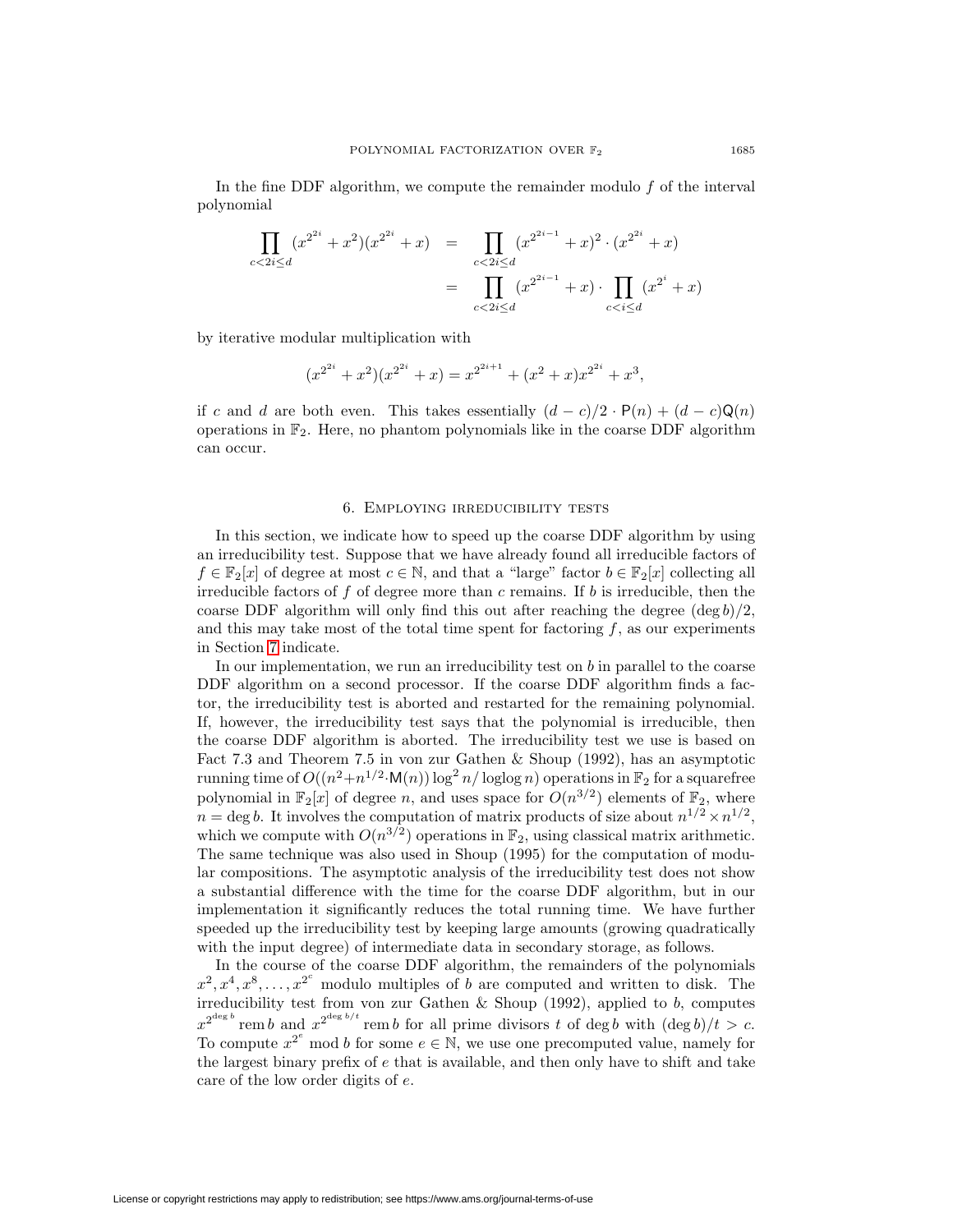In the fine DDF algorithm, we compute the remainder modulo  $f$  of the interval polynomial

$$
\prod_{c < 2i \le d} (x^{2^{2i}} + x^2)(x^{2^{2i}} + x) = \prod_{c < 2i \le d} (x^{2^{2i-1}} + x)^2 \cdot (x^{2^{2i}} + x)
$$
\n
$$
= \prod_{c < 2i \le d} (x^{2^{2i-1}} + x) \cdot \prod_{c < i \le d} (x^{2^i} + x)
$$

by iterative modular multiplication with

$$
(x^{2^{2i}} + x^2)(x^{2^{2i}} + x) = x^{2^{2i+1}} + (x^2 + x)x^{2^{2i}} + x^3,
$$

if c and d are both even. This takes essentially  $(d - c)/2 \cdot P(n) + (d - c)Q(n)$ operations in  $\mathbb{F}_2$ . Here, no phantom polynomials like in the coarse DDF algorithm can occur.

### 6. Employing irreducibility tests

<span id="page-8-0"></span>In this section, we indicate how to speed up the coarse DDF algorithm by using an irreducibility test. Suppose that we have already found all irreducible factors of  $f \in \mathbb{F}_2[x]$  of degree at most  $c \in \mathbb{N}$ , and that a "large" factor  $b \in \mathbb{F}_2[x]$  collecting all irreducible factors of  $f$  of degree more than c remains. If  $b$  is irreducible, then the coarse DDF algorithm will only find this out after reaching the degree  $(\deg b)/2$ , and this may take most of the total time spent for factoring  $f$ , as our experiments in Section [7](#page-9-0) indicate.

In our implementation, we run an irreducibility test on  $b$  in parallel to the coarse DDF algorithm on a second processor. If the coarse DDF algorithm finds a factor, the irreducibility test is aborted and restarted for the remaining polynomial. If, however, the irreducibility test says that the polynomial is irreducible, then the coarse DDF algorithm is aborted. The irreducibility test we use is based on Fact 7.3 and Theorem 7.5 in von zur Gathen & Shoup (1992), has an asymptotic running time of  $O((n^2+n^{1/2}\cdot M(n))\log^2 n/\log\log n)$  operations in  $\mathbb{F}_2$  for a squarefree polynomial in  $\mathbb{F}_2[x]$  of degree n, and uses space for  $O(n^{3/2})$  elements of  $\mathbb{F}_2$ , where  $n = \deg b$ . It involves the computation of matrix products of size about  $n^{1/2} \times n^{1/2}$ , which we compute with  $O(n^{3/2})$  operations in  $\mathbb{F}_2$ , using classical matrix arithmetic. The same technique was also used in Shoup (1995) for the computation of modular compositions. The asymptotic analysis of the irreducibility test does not show a substantial difference with the time for the coarse DDF algorithm, but in our implementation it significantly reduces the total running time. We have further speeded up the irreducibility test by keeping large amounts (growing quadratically with the input degree) of intermediate data in secondary storage, as follows.

In the course of the coarse DDF algorithm, the remainders of the polynomials  $x^2, x^4, x^8, \ldots, x^{2^c}$  modulo multiples of b are computed and written to disk. The irreducibility test from von zur Gathen & Shoup  $(1992)$ , applied to b, computes  $x^{2^{\deg b}}$  rem b and  $x^{2^{\deg b/t}}$  rem b for all prime divisors t of deg b with  $(\deg b)/t > c$ . To compute  $x^{2^e}$  mod b for some  $e \in \mathbb{N}$ , we use one precomputed value, namely for the largest binary prefix of e that is available, and then only have to shift and take care of the low order digits of e.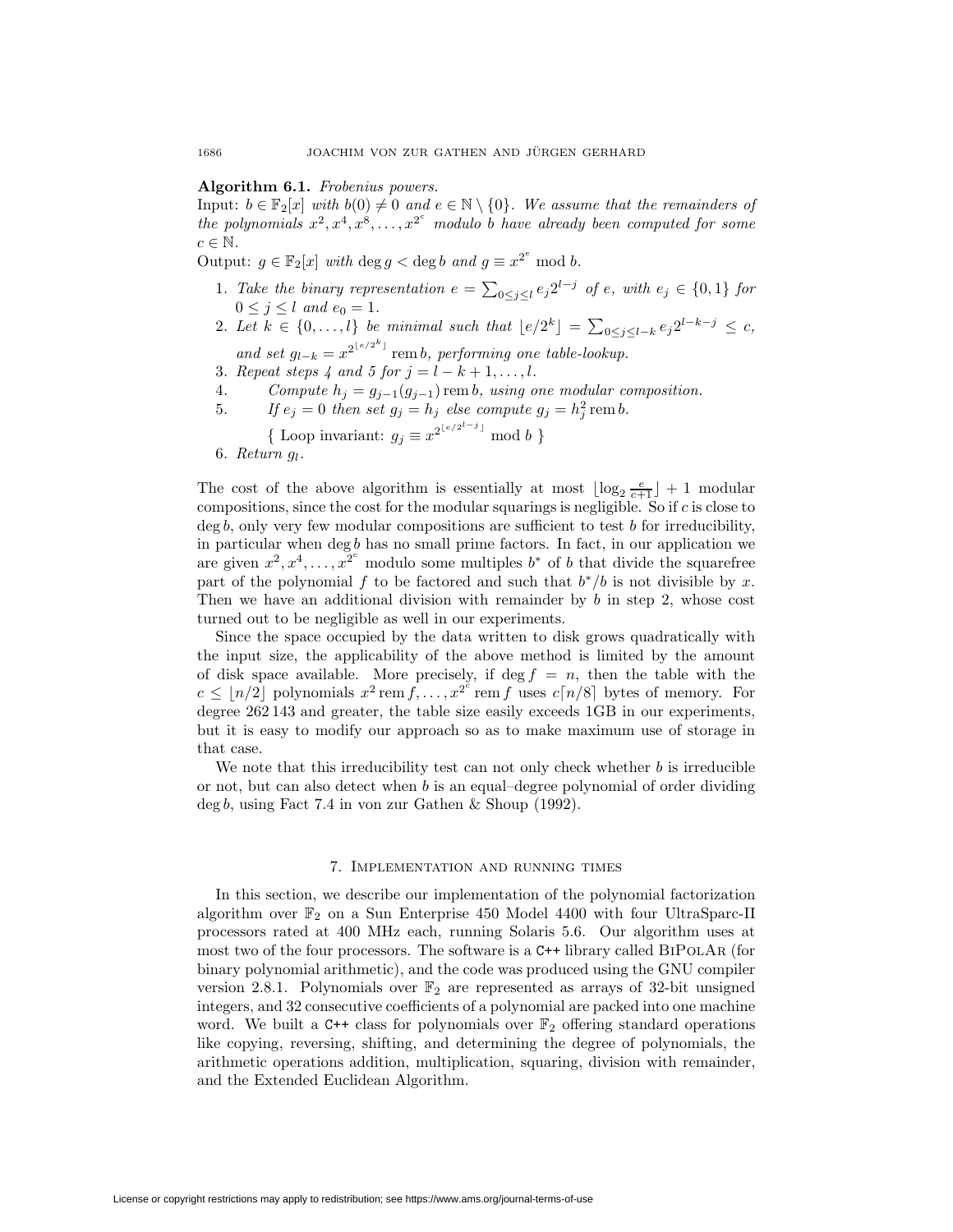## **Algorithm 6.1.** Frobenius powers.

Input:  $b \in \mathbb{F}_2[x]$  with  $b(0) \neq 0$  and  $e \in \mathbb{N} \setminus \{0\}$ . We assume that the remainders of the polynomials  $x^2, x^4, x^8, \ldots, x^{2^c}$  modulo b have already been computed for some  $c \in \mathbb{N}$ .

Output:  $g \in \mathbb{F}_2[x]$  with  $\deg g < \deg b$  and  $g \equiv x^{2^e} \mod b$ .

- 1. Take the binary representation  $e = \sum_{0 \leq j \leq l} e_j 2^{l-j}$  of e, with  $e_j \in \{0,1\}$  for  $0 \leq j \leq l$  and  $e_0 = 1$ .
- 2. Let  $k \in \{0, \ldots, l\}$  be minimal such that  $\lfloor e/2^k \rfloor = \sum_{0 \le j \le l-k} e_j 2^{l-k-j} \le c$ , and set  $g_{l-k} = x^{2^{\lfloor e/2^k \rfloor}}$  rem b, performing one table-lookup.
- 3. Repeat steps 4 and 5 for  $j = l k + 1, \ldots, l$ .
- 
- 4. Compute  $h_j = g_{j-1}(g_{j-1})$  rem b, using one modular composition.<br>5. If  $e_j = 0$  then set  $q_j = h_j$  else compute  $q_j = h_j^2$  rem b.
- 5. If  $e_j = 0$  then set  $g_j = h_j$  else compute  $g_j = h_j^2$  remb.
	- {Loop invariant:  $g_j \equiv x^{2^{\lfloor e/2^{l-j} \rfloor}} \mod b$  }
- 6. Return  $g_l$ .

The cost of the above algorithm is essentially at most  $\lfloor \log_2 \frac{e}{c+1} \rfloor + 1$  modular compositions, since the cost for the modular squarings is negligible. So if  $c$  is close to  $\deg b$ , only very few modular compositions are sufficient to test b for irreducibility, in particular when  $\deg b$  has no small prime factors. In fact, in our application we are given  $x^2, x^4, \ldots, x^{2^c}$  modulo some multiples  $b^*$  of b that divide the squarefree part of the polynomial f to be factored and such that  $b^*/b$  is not divisible by x. Then we have an additional division with remainder by  $b$  in step 2, whose cost turned out to be negligible as well in our experiments.

Since the space occupied by the data written to disk grows quadratically with the input size, the applicability of the above method is limited by the amount of disk space available. More precisely, if deg  $f = n$ , then the table with the  $c \leq \lfloor n/2 \rfloor$  polynomials  $x^2$  rem  $f, \ldots, x^{2^e}$  rem f uses  $c \lceil n/8 \rceil$  bytes of memory. For degree 262 143 and greater, the table size easily exceeds 1GB in our experiments, but it is easy to modify our approach so as to make maximum use of storage in that case.

We note that this irreducibility test can not only check whether  $b$  is irreducible or not, but can also detect when  $b$  is an equal–degree polynomial of order dividing deg b, using Fact 7.4 in von zur Gathen & Shoup (1992).

#### 7. Implementation and running times

<span id="page-9-0"></span>In this section, we describe our implementation of the polynomial factorization algorithm over  $\mathbb{F}_2$  on a Sun Enterprise 450 Model 4400 with four UltraSparc-II processors rated at 400 MHz each, running Solaris 5.6. Our algorithm uses at most two of the four processors. The software is a C++ library called BiPolAr (for binary polynomial arithmetic), and the code was produced using the GNU compiler version 2.8.1. Polynomials over  $\mathbb{F}_2$  are represented as arrays of 32-bit unsigned integers, and 32 consecutive coefficients of a polynomial are packed into one machine word. We built a C++ class for polynomials over  $\mathbb{F}_2$  offering standard operations like copying, reversing, shifting, and determining the degree of polynomials, the arithmetic operations addition, multiplication, squaring, division with remainder, and the Extended Euclidean Algorithm.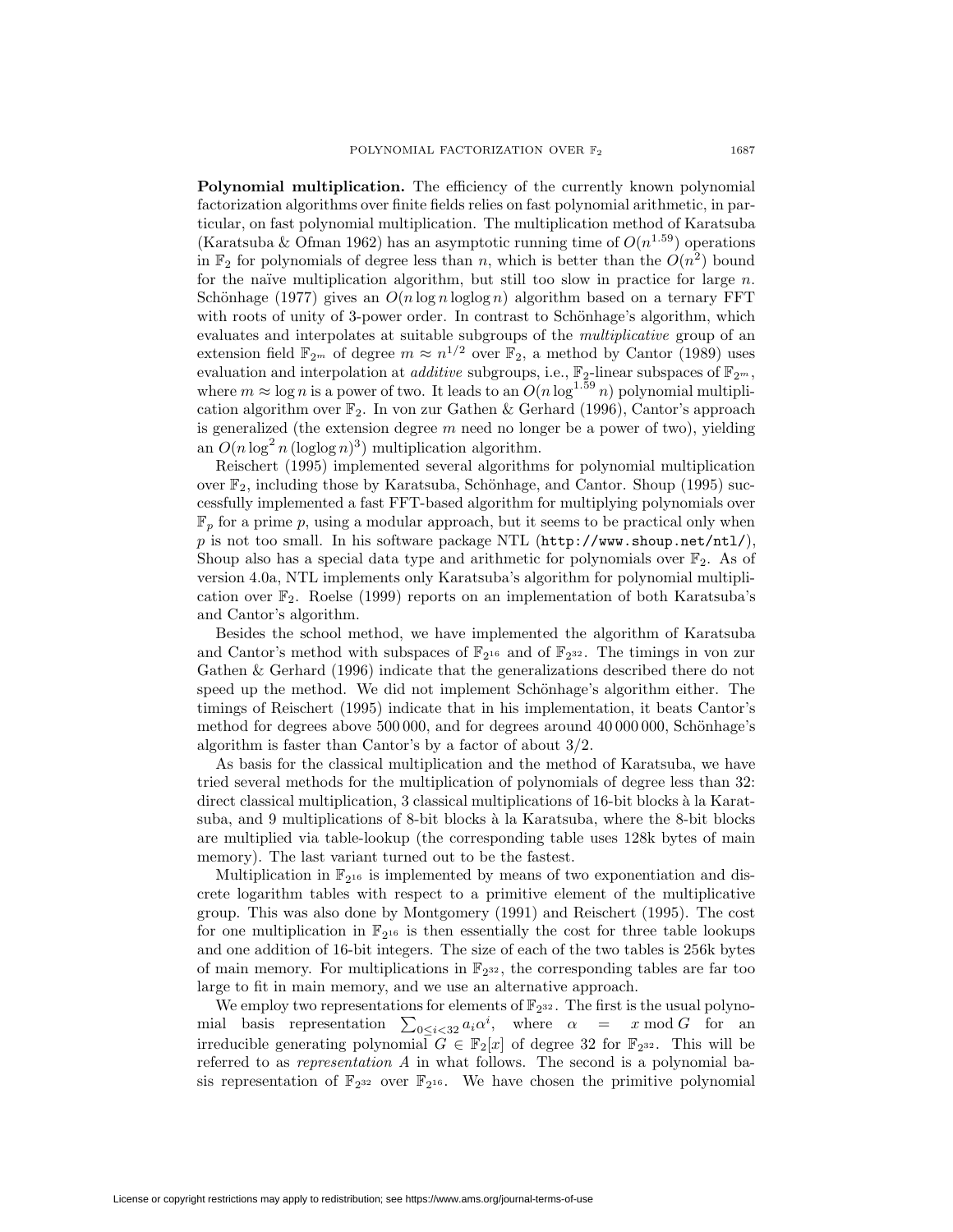**Polynomial multiplication.** The efficiency of the currently known polynomial factorization algorithms over finite fields relies on fast polynomial arithmetic, in particular, on fast polynomial multiplication. The multiplication method of Karatsuba (Karatsuba & Ofman 1962) has an asymptotic running time of  $O(n^{1.59})$  operations in  $\mathbb{F}_2$  for polynomials of degree less than n, which is better than the  $O(n^2)$  bound for the naïve multiplication algorithm, but still too slow in practice for large  $n$ . Schönhage (1977) gives an  $O(n \log n \log \log n)$  algorithm based on a ternary FFT with roots of unity of 3-power order. In contrast to Schönhage's algorithm, which evaluates and interpolates at suitable subgroups of the multiplicative group of an extension field  $\mathbb{F}_{2m}$  of degree  $m \approx n^{1/2}$  over  $\mathbb{F}_{2}$ , a method by Cantor (1989) uses evaluation and interpolation at *additive* subgroups, i.e.,  $\mathbb{F}_2$ -linear subspaces of  $\mathbb{F}_{2^m}$ , where  $m \approx \log n$  is a power of two. It leads to an  $O(n \log^{1.59} n)$  polynomial multiplication algorithm over  $\mathbb{F}_2$ . In von zur Gathen & Gerhard (1996), Cantor's approach is generalized (the extension degree  $m$  need no longer be a power of two), yielding an  $O(n \log^2 n (\log \log n)^3)$  multiplication algorithm.

Reischert (1995) implemented several algorithms for polynomial multiplication over  $\mathbb{F}_2$ , including those by Karatsuba, Schönhage, and Cantor. Shoup (1995) successfully implemented a fast FFT-based algorithm for multiplying polynomials over  $\mathbb{F}_p$  for a prime p, using a modular approach, but it seems to be practical only when p is not too small. In his software package NTL ( $http://www.shoup.net/nt1/$ ), Shoup also has a special data type and arithmetic for polynomials over  $\mathbb{F}_2$ . As of version 4.0a, NTL implements only Karatsuba's algorithm for polynomial multiplication over F2. Roelse (1999) reports on an implementation of both Karatsuba's and Cantor's algorithm.

Besides the school method, we have implemented the algorithm of Karatsuba and Cantor's method with subspaces of  $\mathbb{F}_{2^{16}}$  and of  $\mathbb{F}_{2^{32}}$ . The timings in von zur Gathen & Gerhard (1996) indicate that the generalizations described there do not speed up the method. We did not implement Schönhage's algorithm either. The timings of Reischert (1995) indicate that in his implementation, it beats Cantor's method for degrees above  $500\,000$ , and for degrees around  $40\,000\,000$ , Schönhage's algorithm is faster than Cantor's by a factor of about 3/2.

As basis for the classical multiplication and the method of Karatsuba, we have tried several methods for the multiplication of polynomials of degree less than 32: direct classical multiplication, 3 classical multiplications of 16-bit blocks à la Karatsuba, and 9 multiplications of 8-bit blocks à la Karatsuba, where the 8-bit blocks are multiplied via table-lookup (the corresponding table uses 128k bytes of main memory). The last variant turned out to be the fastest.

Multiplication in  $\mathbb{F}_{2^{16}}$  is implemented by means of two exponentiation and discrete logarithm tables with respect to a primitive element of the multiplicative group. This was also done by Montgomery (1991) and Reischert (1995). The cost for one multiplication in  $\mathbb{F}_{2^{16}}$  is then essentially the cost for three table lookups and one addition of 16-bit integers. The size of each of the two tables is 256k bytes of main memory. For multiplications in  $\mathbb{F}_{2^{32}}$ , the corresponding tables are far too large to fit in main memory, and we use an alternative approach.

We employ two representations for elements of  $\mathbb{F}_{2^{32}}$ . The first is the usual polynomial basis representation  $\sum_{0 \leq i < 32} a_i \alpha^i$ , where  $\alpha = x \mod G$  for an irreducible generating polynomial  $G \in \mathbb{F}_2[x]$  of degree 32 for  $\mathbb{F}_{2^{32}}$ . This will be referred to as representation A in what follows. The second is a polynomial basis representation of  $\mathbb{F}_{2^{32}}$  over  $\mathbb{F}_{2^{16}}$ . We have chosen the primitive polynomial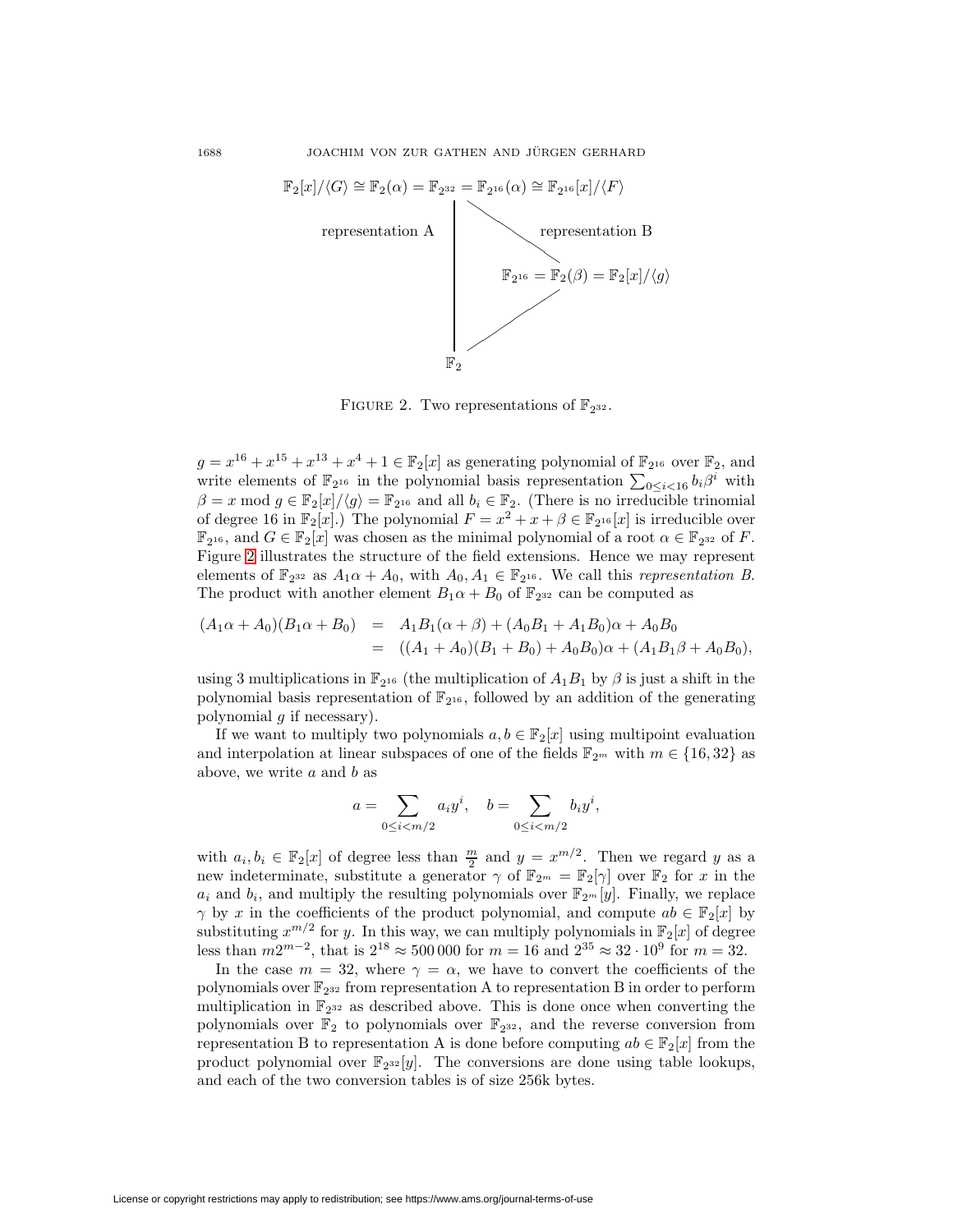

<span id="page-11-0"></span>FIGURE 2. Two representations of  $\mathbb{F}_{2^{32}}$ .

 $g = x^{16} + x^{15} + x^{13} + x^4 + 1 \in \mathbb{F}_2[x]$  as generating polynomial of  $\mathbb{F}_{2^{16}}$  over  $\mathbb{F}_2$ , and write elements of  $\mathbb{F}_{2^{16}}$  in the polynomial basis representation  $\sum_{0 \leq i < 16} b_i \beta^i$  with  $\beta = x \mod g \in \mathbb{F}_2[x]/\langle g \rangle = \mathbb{F}_{2^{16}}$  and all  $b_i \in \mathbb{F}_2$ . (There is no irreducible trinomial of degree 16 in  $\mathbb{F}_2[x]$ .) The polynomial  $F = x^2 + x + \beta \in \mathbb{F}_{2^{16}}[x]$  is irreducible over  $\mathbb{F}_{2^{16}}$ , and  $G \in \mathbb{F}_{2}[x]$  was chosen as the minimal polynomial of a root  $\alpha \in \mathbb{F}_{2^{32}}$  of F. Figure [2](#page-11-0) illustrates the structure of the field extensions. Hence we may represent elements of  $\mathbb{F}_{2^{32}}$  as  $A_1\alpha + A_0$ , with  $A_0, A_1 \in \mathbb{F}_{2^{16}}$ . We call this *representation B*. The product with another element  $B_1\alpha + B_0$  of  $\mathbb{F}_{2^{32}}$  can be computed as

$$
(A_1\alpha + A_0)(B_1\alpha + B_0) = A_1B_1(\alpha + \beta) + (A_0B_1 + A_1B_0)\alpha + A_0B_0
$$
  
= ((A<sub>1</sub> + A<sub>0</sub>)(B<sub>1</sub> + B<sub>0</sub>) + A<sub>0</sub>B<sub>0</sub>) $\alpha$  + (A<sub>1</sub>B<sub>1</sub> $\beta$  + A<sub>0</sub>B<sub>0</sub>),

using 3 multiplications in  $\mathbb{F}_{2^{16}}$  (the multiplication of  $A_1B_1$  by  $\beta$  is just a shift in the polynomial basis representation of  $\mathbb{F}_{2^{16}}$ , followed by an addition of the generating polynomial  $q$  if necessary).

If we want to multiply two polynomials  $a, b \in \mathbb{F}_2[x]$  using multipoint evaluation and interpolation at linear subspaces of one of the fields  $\mathbb{F}_{2^m}$  with  $m \in \{16, 32\}$  as above, we write  $a$  and  $b$  as

$$
a = \sum_{0 \le i < m/2} a_i y^i, \quad b = \sum_{0 \le i < m/2} b_i y^i,
$$

with  $a_i, b_i \in \mathbb{F}_2[x]$  of degree less than  $\frac{m}{2}$  and  $y = x^{m/2}$ . Then we regard y as a new indeterminate, substitute a generator  $\gamma$  of  $\mathbb{F}_{2^m} = \mathbb{F}_2[\gamma]$  over  $\mathbb{F}_2$  for x in the  $a_i$  and  $b_i$ , and multiply the resulting polynomials over  $\mathbb{F}_{2^m}[y]$ . Finally, we replace  $\gamma$  by x in the coefficients of the product polynomial, and compute  $ab \in \mathbb{F}_2[x]$  by substituting  $x^{m/2}$  for y. In this way, we can multiply polynomials in  $\mathbb{F}_2[x]$  of degree less than  $m2^{m-2}$ , that is  $2^{18} \approx 500\,000$  for  $m = 16$  and  $2^{35} \approx 32 \cdot 10^9$  for  $m = 32$ .

In the case  $m = 32$ , where  $\gamma = \alpha$ , we have to convert the coefficients of the polynomials over  $\mathbb{F}_{2^{32}}$  from representation A to representation B in order to perform multiplication in  $\mathbb{F}_{2^{32}}$  as described above. This is done once when converting the polynomials over  $\mathbb{F}_2$  to polynomials over  $\mathbb{F}_{2^{32}}$ , and the reverse conversion from representation B to representation A is done before computing  $ab \in \mathbb{F}_2[x]$  from the product polynomial over  $\mathbb{F}_{2^{32}}[y]$ . The conversions are done using table lookups, and each of the two conversion tables is of size 256k bytes.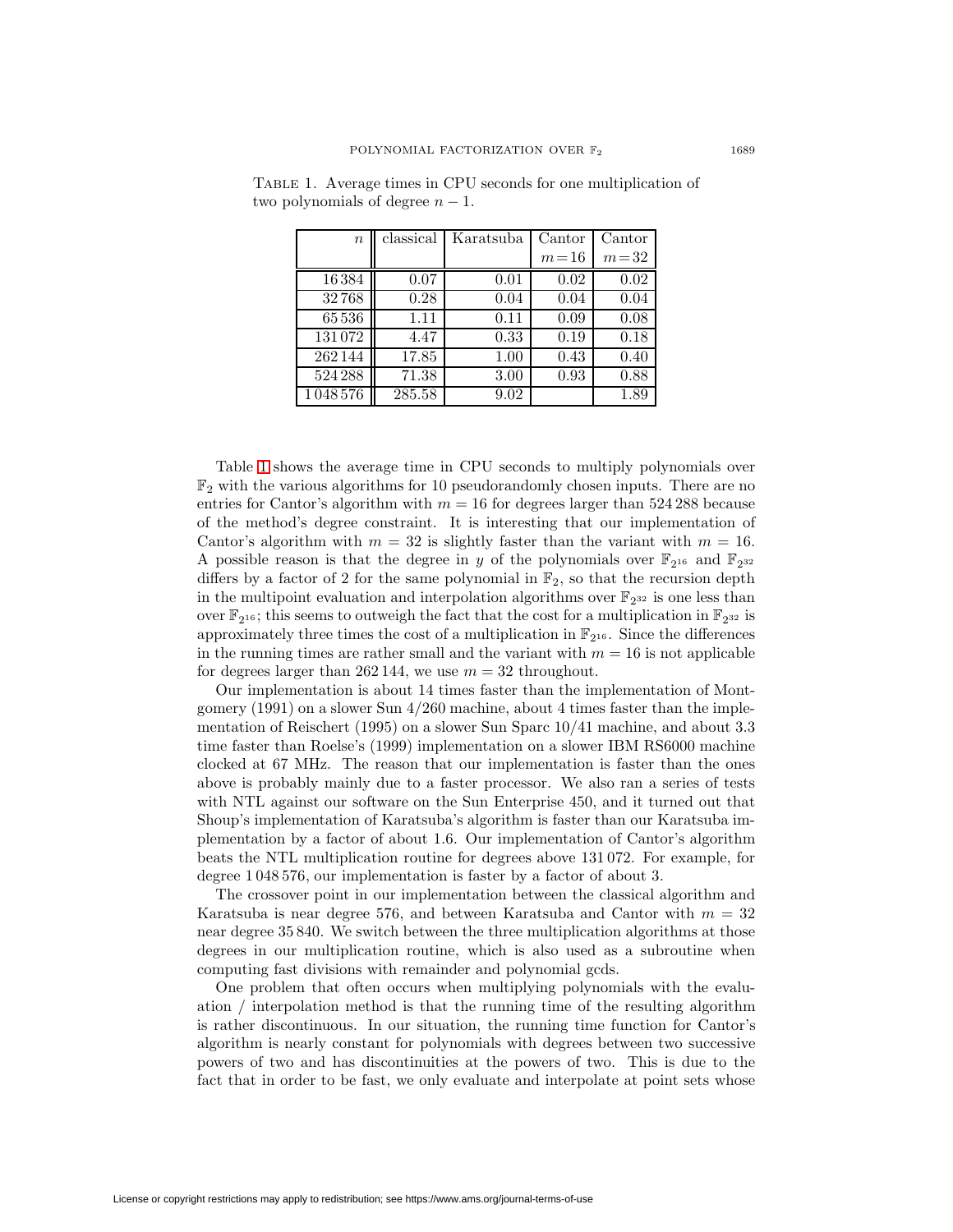| $\, n$  | classical | Karatsuba | Cantor   | Cantor   |
|---------|-----------|-----------|----------|----------|
|         |           |           | $m = 16$ | $m=32$   |
| 16384   | 0.07      | 0.01      | 0.02     | $0.02\,$ |
| 32768   | 0.28      | 0.04      | 0.04     | 0.04     |
| 65536   | 1.11      | 0.11      | 0.09     | 0.08     |
| 131072  | 4.47      | 0.33      | 0.19     | 0.18     |
| 262144  | 17.85     | 1.00      | 0.43     | 0.40     |
| 524288  | 71.38     | 3.00      | 0.93     | 0.88     |
| 1048576 | 285.58    | 9.02      |          | 1.89     |

<span id="page-12-0"></span>Table 1. Average times in CPU seconds for one multiplication of two polynomials of degree  $n-1$ .

Table [1](#page-12-0) shows the average time in CPU seconds to multiply polynomials over  $\mathbb{F}_2$  with the various algorithms for 10 pseudorandomly chosen inputs. There are no entries for Cantor's algorithm with  $m = 16$  for degrees larger than 524 288 because of the method's degree constraint. It is interesting that our implementation of Cantor's algorithm with  $m = 32$  is slightly faster than the variant with  $m = 16$ . A possible reason is that the degree in y of the polynomials over  $\mathbb{F}_{2^{16}}$  and  $\mathbb{F}_{2^{32}}$ differs by a factor of 2 for the same polynomial in  $\mathbb{F}_2$ , so that the recursion depth in the multipoint evaluation and interpolation algorithms over  $\mathbb{F}_{2^{32}}$  is one less than over  $\mathbb{F}_{2^{16}}$ ; this seems to outweigh the fact that the cost for a multiplication in  $\mathbb{F}_{2^{32}}$  is approximately three times the cost of a multiplication in  $\mathbb{F}_{2^{16}}$ . Since the differences in the running times are rather small and the variant with  $m = 16$  is not applicable for degrees larger than 262 144, we use  $m = 32$  throughout.

Our implementation is about 14 times faster than the implementation of Montgomery (1991) on a slower Sun 4/260 machine, about 4 times faster than the implementation of Reischert (1995) on a slower Sun Sparc 10/41 machine, and about 3.3 time faster than Roelse's (1999) implementation on a slower IBM RS6000 machine clocked at 67 MHz. The reason that our implementation is faster than the ones above is probably mainly due to a faster processor. We also ran a series of tests with NTL against our software on the Sun Enterprise 450, and it turned out that Shoup's implementation of Karatsuba's algorithm is faster than our Karatsuba implementation by a factor of about 1.6. Our implementation of Cantor's algorithm beats the NTL multiplication routine for degrees above 131 072. For example, for degree 1 048 576, our implementation is faster by a factor of about 3.

The crossover point in our implementation between the classical algorithm and Karatsuba is near degree 576, and between Karatsuba and Cantor with  $m = 32$ near degree 35 840. We switch between the three multiplication algorithms at those degrees in our multiplication routine, which is also used as a subroutine when computing fast divisions with remainder and polynomial gcds.

One problem that often occurs when multiplying polynomials with the evaluation / interpolation method is that the running time of the resulting algorithm is rather discontinuous. In our situation, the running time function for Cantor's algorithm is nearly constant for polynomials with degrees between two successive powers of two and has discontinuities at the powers of two. This is due to the fact that in order to be fast, we only evaluate and interpolate at point sets whose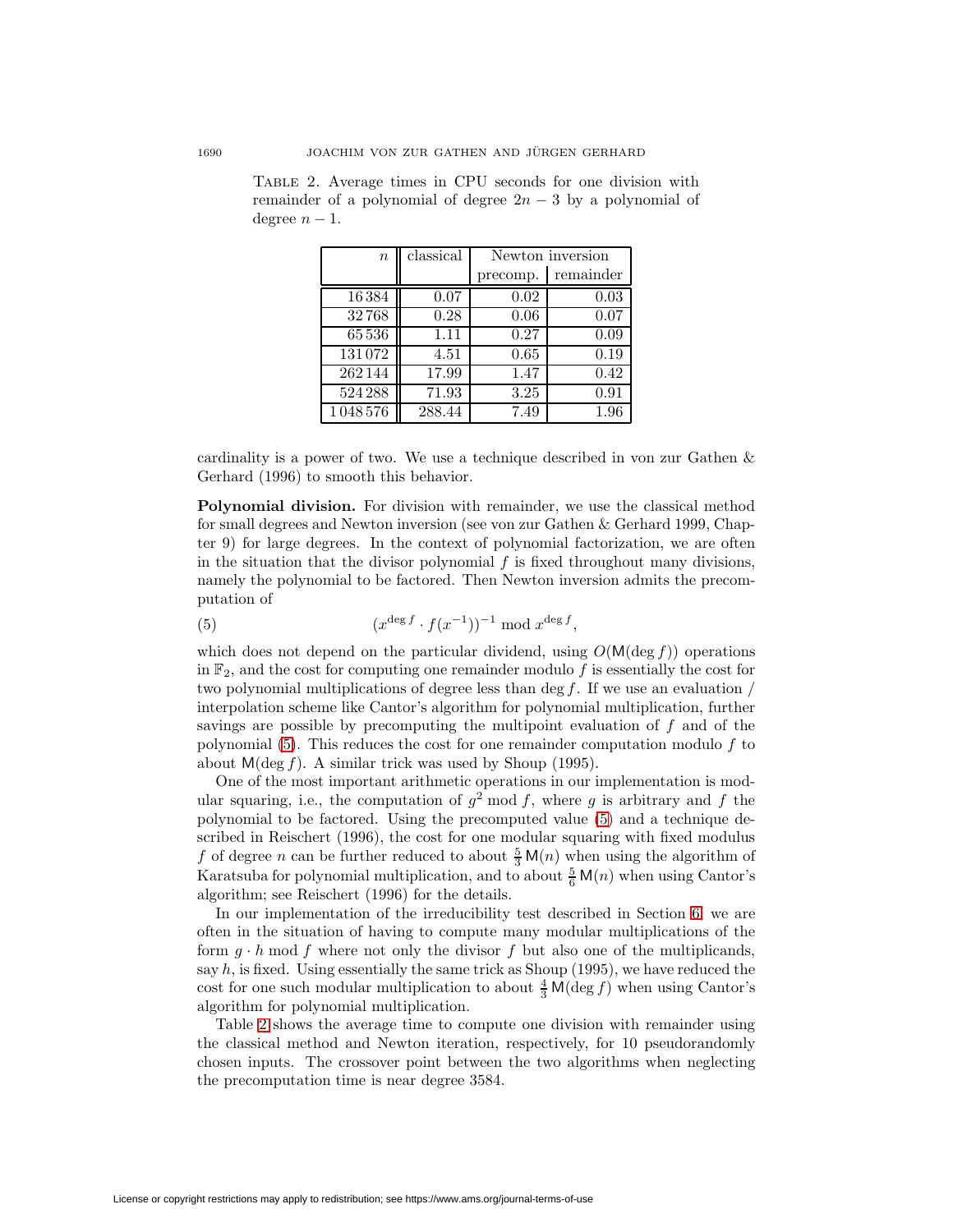| $\boldsymbol{n}$ | classical | Newton inversion |           |  |
|------------------|-----------|------------------|-----------|--|
|                  |           | precomp.         | remainder |  |
| 16384            | 0.07      | 0.02             | 0.03      |  |
| 32768            | 0.28      | 0.06             | 0.07      |  |
| 65536            | 1.11      | 0.27             | 0.09      |  |
| 131072           | 4.51      | 0.65             | 0.19      |  |
| $\sqrt{262}144$  | 17.99     | 1.47             | 0.42      |  |
| 524288           | 71.93     | 3.25             | 0.91      |  |
| 1048576          | 288.44    | 7.49             | 1.96      |  |

<span id="page-13-1"></span>Table 2. Average times in CPU seconds for one division with remainder of a polynomial of degree  $2n-3$  by a polynomial of degree  $n-1$ .

cardinality is a power of two. We use a technique described in von zur Gathen & Gerhard (1996) to smooth this behavior.

**Polynomial division.** For division with remainder, we use the classical method for small degrees and Newton inversion (see von zur Gathen & Gerhard 1999, Chapter 9) for large degrees. In the context of polynomial factorization, we are often in the situation that the divisor polynomial  $f$  is fixed throughout many divisions, namely the polynomial to be factored. Then Newton inversion admits the precomputation of

<span id="page-13-0"></span>
$$
(5) \qquad \qquad (x^{\deg f} \cdot f(x^{-1}))^{-1} \bmod x^{\deg f},
$$

which does not depend on the particular dividend, using  $O(M(\deg f))$  operations in  $\mathbb{F}_2$ , and the cost for computing one remainder modulo f is essentially the cost for two polynomial multiplications of degree less than deg  $f$ . If we use an evaluation / interpolation scheme like Cantor's algorithm for polynomial multiplication, further savings are possible by precomputing the multipoint evaluation of  $f$  and of the polynomial  $(5)$ . This reduces the cost for one remainder computation modulo f to about  $M(\deg f)$ . A similar trick was used by Shoup (1995).

One of the most important arithmetic operations in our implementation is modular squaring, i.e., the computation of  $q^2$  mod f, where q is arbitrary and f the polynomial to be factored. Using the precomputed value [\(5\)](#page-13-0) and a technique described in Reischert (1996), the cost for one modular squaring with fixed modulus f of degree n can be further reduced to about  $\frac{5}{3}$  M(n) when using the algorithm of Karatsuba for polynomial multiplication, and to about  $\frac{5}{6}$  M(n) when using Cantor's algorithm; see Reischert (1996) for the details.

In our implementation of the irreducibility test described in Section [6,](#page-8-0) we are often in the situation of having to compute many modular multiplications of the form  $g \cdot h \mod f$  where not only the divisor f but also one of the multiplicands, say  $h$ , is fixed. Using essentially the same trick as Shoup  $(1995)$ , we have reduced the cost for one such modular multiplication to about  $\frac{4}{3}$  M(deg f) when using Cantor's algorithm for polynomial multiplication.

Table [2](#page-13-1) shows the average time to compute one division with remainder using the classical method and Newton iteration, respectively, for 10 pseudorandomly chosen inputs. The crossover point between the two algorithms when neglecting the precomputation time is near degree 3584.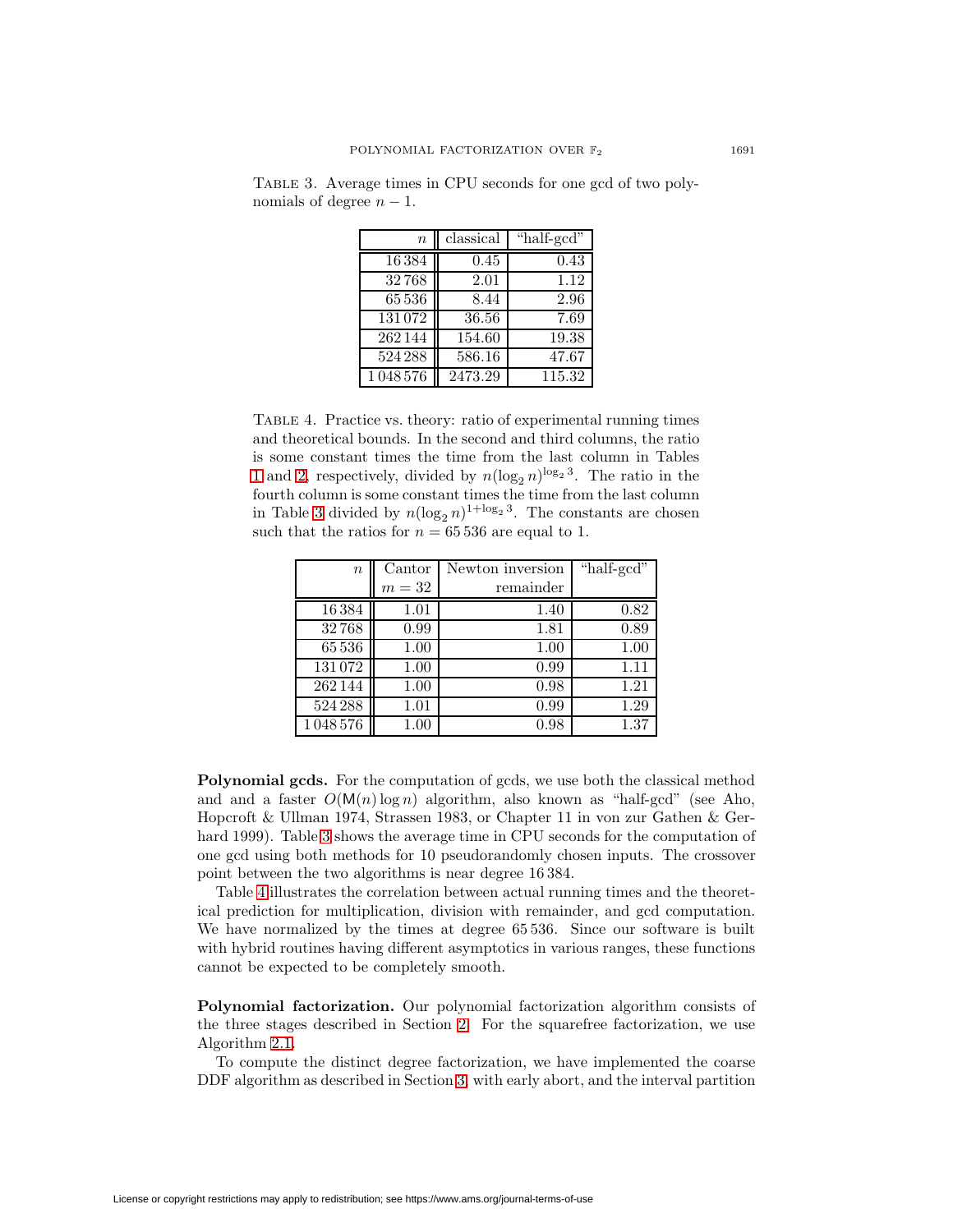| $\boldsymbol{n}$ | classical | "half-gcd"   |
|------------------|-----------|--------------|
| 16384            | 0.45      | 0.43         |
| 32768            | 2.01      | 1.12         |
| 65536            | 8.44      | 2.96         |
| 131072           | 36.56     | 7.69         |
| 262144           | 154.60    | <b>19.38</b> |
| 524288           | 586.16    | 47.67        |
| 1048576          | 2473.29   | 115.32       |

<span id="page-14-0"></span>Table 3. Average times in CPU seconds for one gcd of two polynomials of degree  $n-1$ .

<span id="page-14-1"></span>Table 4. Practice vs. theory: ratio of experimental running times and theoretical bounds. In the second and third columns, the ratio is some constant times the time from the last column in Tables [1](#page-12-0) and [2,](#page-13-1) respectively, divided by  $n(\log_2 n)^{\log_2 3}$ . The ratio in the fourth column is some constant times the time from the last column in Table [3](#page-14-0) divided by  $n(\log_2 n)^{1+\log_2 3}$ . The constants are chosen such that the ratios for  $n = 65536$  are equal to 1.

| $\boldsymbol{n}$ | Cantor | Newton inversion | "half-gcd" |
|------------------|--------|------------------|------------|
|                  | $m=32$ | remainder        |            |
| 16384            | 1.01   | 1.40             | 0.82       |
| 32768            | 0.99   | 1.81             | 0.89       |
| 65 536           | 1.00   | 1.00             | 1.00       |
| 131072           | 1.00   | 0.99             | 1.11       |
| 262144           | 1.00   | 0.98             | 1.21       |
| 524 288          | 1.01   | 0.99             | 1.29       |
| 1048576          | 1.00   | 0.98             | 1.37       |

**Polynomial gcds.** For the computation of gcds, we use both the classical method and and a faster  $O(M(n) \log n)$  algorithm, also known as "half-gcd" (see Aho, Hopcroft & Ullman 1974, Strassen 1983, or Chapter 11 in von zur Gathen & Gerhard 1999). Table [3](#page-14-0) shows the average time in CPU seconds for the computation of one gcd using both methods for 10 pseudorandomly chosen inputs. The crossover point between the two algorithms is near degree 16 384.

Table [4](#page-14-1) illustrates the correlation between actual running times and the theoretical prediction for multiplication, division with remainder, and gcd computation. We have normalized by the times at degree 65 536. Since our software is built with hybrid routines having different asymptotics in various ranges, these functions cannot be expected to be completely smooth.

**Polynomial factorization.** Our polynomial factorization algorithm consists of the three stages described in Section [2.](#page-1-0) For the squarefree factorization, we use Algorithm [2.1.](#page-2-2)

To compute the distinct degree factorization, we have implemented the coarse DDF algorithm as described in Section [3,](#page-2-0) with early abort, and the interval partition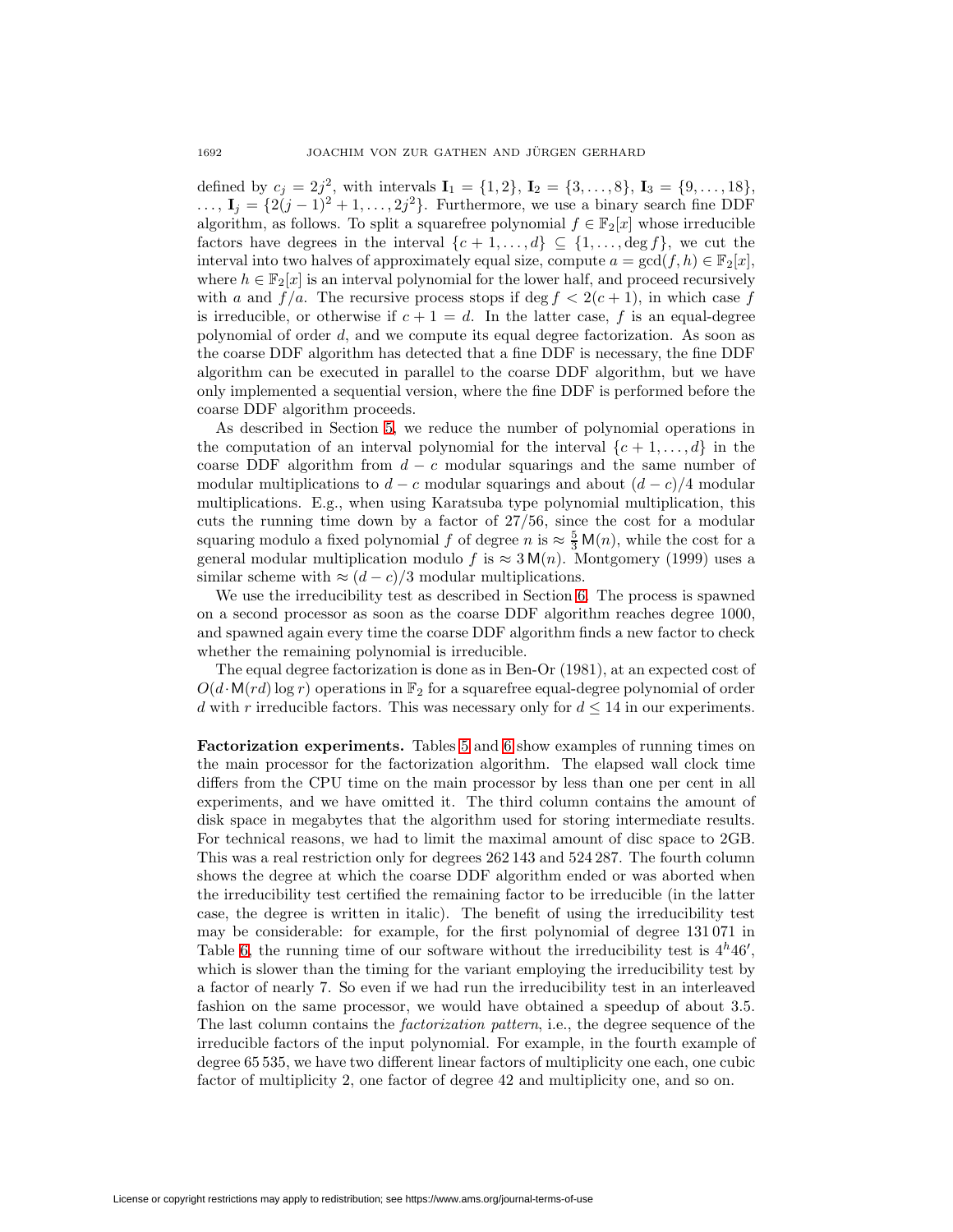defined by  $c_j = 2j^2$ , with intervals  $I_1 = \{1, 2\}$ ,  $I_2 = \{3, ..., 8\}$ ,  $I_3 = \{9, ..., 18\}$ ,  $\ldots$ ,  $\mathbf{I}_j = \{2(j-1)^2 + 1, \ldots, 2j^2\}$ . Furthermore, we use a binary search fine DDF algorithm, as follows. To split a squarefree polynomial  $f \in \mathbb{F}_2[x]$  whose irreducible factors have degrees in the interval  $\{c + 1, \ldots, d\} \subseteq \{1, \ldots, \deg f\}$ , we cut the interval into two halves of approximately equal size, compute  $a = \gcd(f, h) \in \mathbb{F}_2[x]$ , where  $h \in \mathbb{F}_2[x]$  is an interval polynomial for the lower half, and proceed recursively with a and  $f/a$ . The recursive process stops if deg  $f < 2(c + 1)$ , in which case f is irreducible, or otherwise if  $c + 1 = d$ . In the latter case, f is an equal-degree polynomial of order d, and we compute its equal degree factorization. As soon as the coarse DDF algorithm has detected that a fine DDF is necessary, the fine DDF algorithm can be executed in parallel to the coarse DDF algorithm, but we have only implemented a sequential version, where the fine DDF is performed before the coarse DDF algorithm proceeds.

As described in Section [5,](#page-7-0) we reduce the number of polynomial operations in the computation of an interval polynomial for the interval  $\{c + 1, \ldots, d\}$  in the coarse DDF algorithm from  $d - c$  modular squarings and the same number of modular multiplications to  $d - c$  modular squarings and about  $(d - c)/4$  modular multiplications. E.g., when using Karatsuba type polynomial multiplication, this cuts the running time down by a factor of 27/56, since the cost for a modular squaring modulo a fixed polynomial f of degree  $n$  is  $\approx \frac{5}{3}$  M(n), while the cost for a general modular multiplication modulo f is  $\approx 3 \text{ M}(n)$ . Montgomery (1999) uses a similar scheme with  $\approx (d-c)/3$  modular multiplications.

We use the irreducibility test as described in Section [6.](#page-8-0) The process is spawned on a second processor as soon as the coarse DDF algorithm reaches degree 1000, and spawned again every time the coarse DDF algorithm finds a new factor to check whether the remaining polynomial is irreducible.

The equal degree factorization is done as in Ben-Or (1981), at an expected cost of  $O(d \cdot M(rd) \log r)$  operations in  $\mathbb{F}_2$  for a squarefree equal-degree polynomial of order d with r irreducible factors. This was necessary only for  $d \leq 14$  in our experiments.

**Factorization experiments.** Tables [5](#page-16-0) and [6](#page-17-0) show examples of running times on the main processor for the factorization algorithm. The elapsed wall clock time differs from the CPU time on the main processor by less than one per cent in all experiments, and we have omitted it. The third column contains the amount of disk space in megabytes that the algorithm used for storing intermediate results. For technical reasons, we had to limit the maximal amount of disc space to 2GB. This was a real restriction only for degrees 262 143 and 524 287. The fourth column shows the degree at which the coarse DDF algorithm ended or was aborted when the irreducibility test certified the remaining factor to be irreducible (in the latter case, the degree is written in italic). The benefit of using the irreducibility test may be considerable: for example, for the first polynomial of degree 131 071 in Table [6,](#page-17-0) the running time of our software without the irreducibility test is  $4<sup>h</sup>46'$ , which is slower than the timing for the variant employing the irreducibility test by a factor of nearly 7. So even if we had run the irreducibility test in an interleaved fashion on the same processor, we would have obtained a speedup of about 3.5. The last column contains the factorization pattern, i.e., the degree sequence of the irreducible factors of the input polynomial. For example, in the fourth example of degree 65 535, we have two different linear factors of multiplicity one each, one cubic factor of multiplicity 2, one factor of degree 42 and multiplicity one, and so on.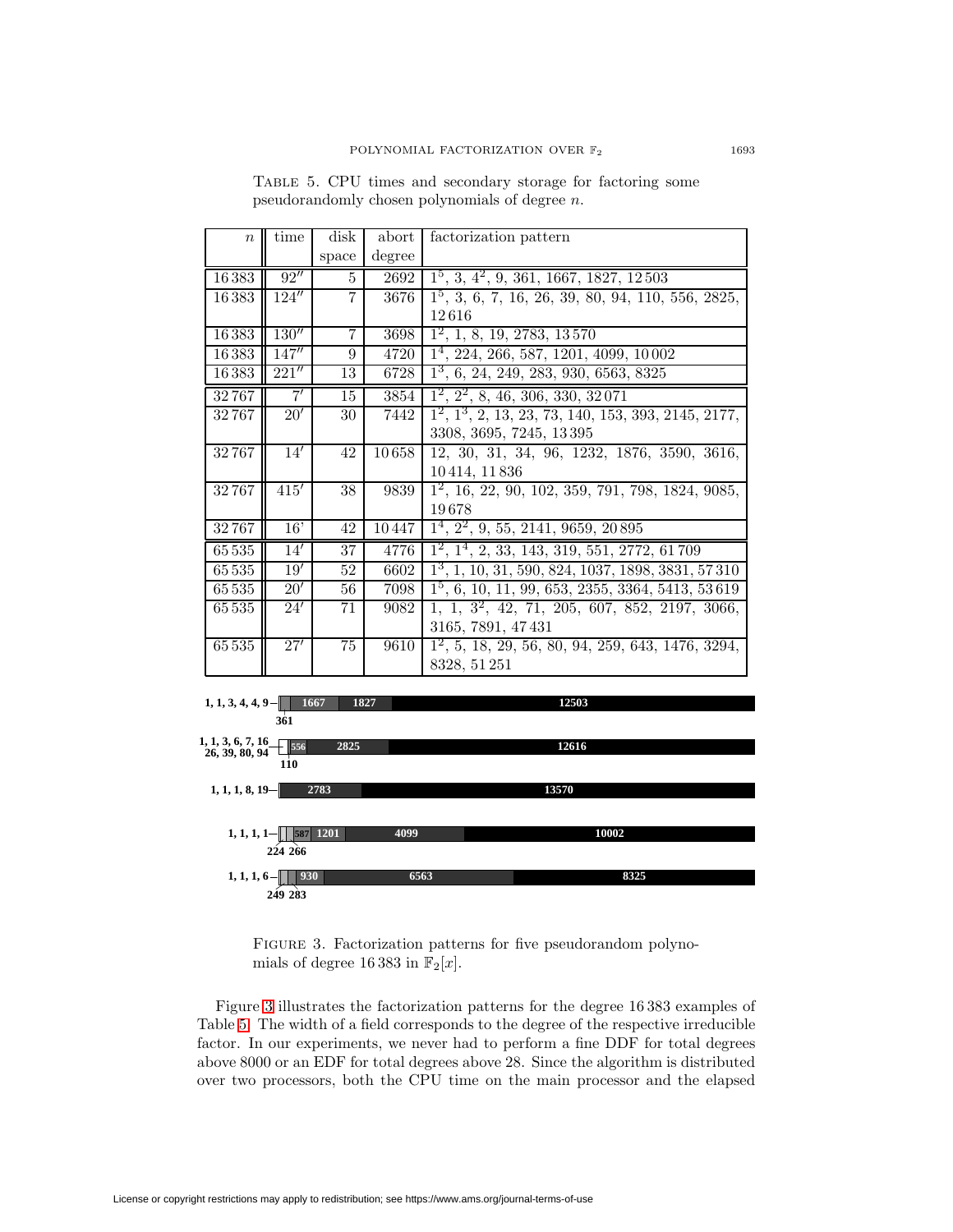<span id="page-16-0"></span>Table 5. CPU times and secondary storage for factoring some pseudorandomly chosen polynomials of degree n.

| $\boldsymbol{n}$                    | time            | disk            | abort  | factorization pattern                                     |
|-------------------------------------|-----------------|-----------------|--------|-----------------------------------------------------------|
|                                     |                 | space           | degree |                                                           |
| 16383                               | 92''            | 5               | 2692   | $1^5$ , 3, 4 <sup>2</sup> , 9, 361, 1667, 1827, 12503     |
| 16383                               | 124''           | $\overline{7}$  | 3676   | $1^5$ , 3, 6, 7, 16, 26, 39, 80, 94, 110, 556, 2825,      |
|                                     |                 |                 |        | 12616                                                     |
| 16383                               | 130''           | $\overline{7}$  | 3698   | $1^2$ , 1, 8, 19, 2783, 13570                             |
| 16383                               | 147''           | 9               | 4720   | $1^4$ , 224, 266, 587, 1201, 4099, 10002                  |
| 16383                               | 221''           | 13              | 6728   | $1^3$ , 6, 24, 249, 283, 930, 6563, 8325                  |
| 32767                               | $\overline{7'}$ | 15              | 3854   | $1^2$ , $2^2$ , 8, 46, 306, 330, 32071                    |
| 32767                               | 20'             | 30              | 7442   | $1^2$ , $1^3$ , 2, 13, 23, 73, 140, 153, 393, 2145, 2177, |
|                                     |                 |                 |        | 3308, 3695, 7245, 13395                                   |
| 32767                               | 14'             | 42              | 10658  | 12, 30, 31, 34, 96, 1232, 1876, 3590, 3616,               |
|                                     |                 |                 |        | 10414, 11836                                              |
| 32767                               | 415'            | 38              | 9839   | $1^2$ , 16, 22, 90, 102, 359, 791, 798, 1824, 9085,       |
|                                     |                 |                 |        | 19678                                                     |
| 32767                               | 16'             | 42              | 10447  | $1^4$ , $2^2$ , 9, 55, 2141, 9659, 20895                  |
| 65535                               | 14'             | 37              | 4776   | $1^2$ , $1^4$ , 2, 33, 143, 319, 551, 2772, 61709         |
| 65 5 35                             | 19'             | 52              | 6602   | $1^3$ , 1, 10, 31, 590, 824, 1037, 1898, 3831, 57310      |
| 65 5 35                             | 20'             | 56              | 7098   | $1^5$ , 6, 10, 11, 99, 653, 2355, 3364, 5413, 53619       |
| 65 5 35                             | 24'             | 71              | 9082   | $1, 1, 3^2, 42, 71, 205, 607, 852, 2197, 3066,$           |
|                                     |                 |                 |        | 3165, 7891, 47431                                         |
| 65535                               | 27'             | $\overline{75}$ | 9610   | $1^2$ , 5, 18, 29, 56, 80, 94, 259, 643, 1476, 3294,      |
|                                     |                 |                 |        | 8328, 51 251                                              |
|                                     |                 |                 |        |                                                           |
| 1, 1, 3, 4, 4, 9                    |                 | 1667            | 1827   | 12503                                                     |
|                                     | 361             |                 |        |                                                           |
| 1, 1, 3, 6, 7, 16<br>26, 39, 80, 94 | 556             | 2825            |        | 12616                                                     |
|                                     | 110             |                 |        |                                                           |
| 1, 1, 1, 8, 19                      |                 | 2783            |        | 13570                                                     |
|                                     |                 |                 |        |                                                           |

| 1201<br>$1, 1, 1, 1-$<br>FOT | 4099 | 10002. |
|------------------------------|------|--------|
| 224 266                      |      |        |
| 1, 1, 1, 6<br>930            | 6563 | 8325   |
| 249 283                      |      |        |

<span id="page-16-1"></span>FIGURE 3. Factorization patterns for five pseudorandom polynomials of degree 16 383 in  $\mathbb{F}_2[x]$ .

Figure [3](#page-16-1) illustrates the factorization patterns for the degree 16 383 examples of Table [5.](#page-16-0) The width of a field corresponds to the degree of the respective irreducible factor. In our experiments, we never had to perform a fine DDF for total degrees above 8000 or an EDF for total degrees above 28. Since the algorithm is distributed over two processors, both the CPU time on the main processor and the elapsed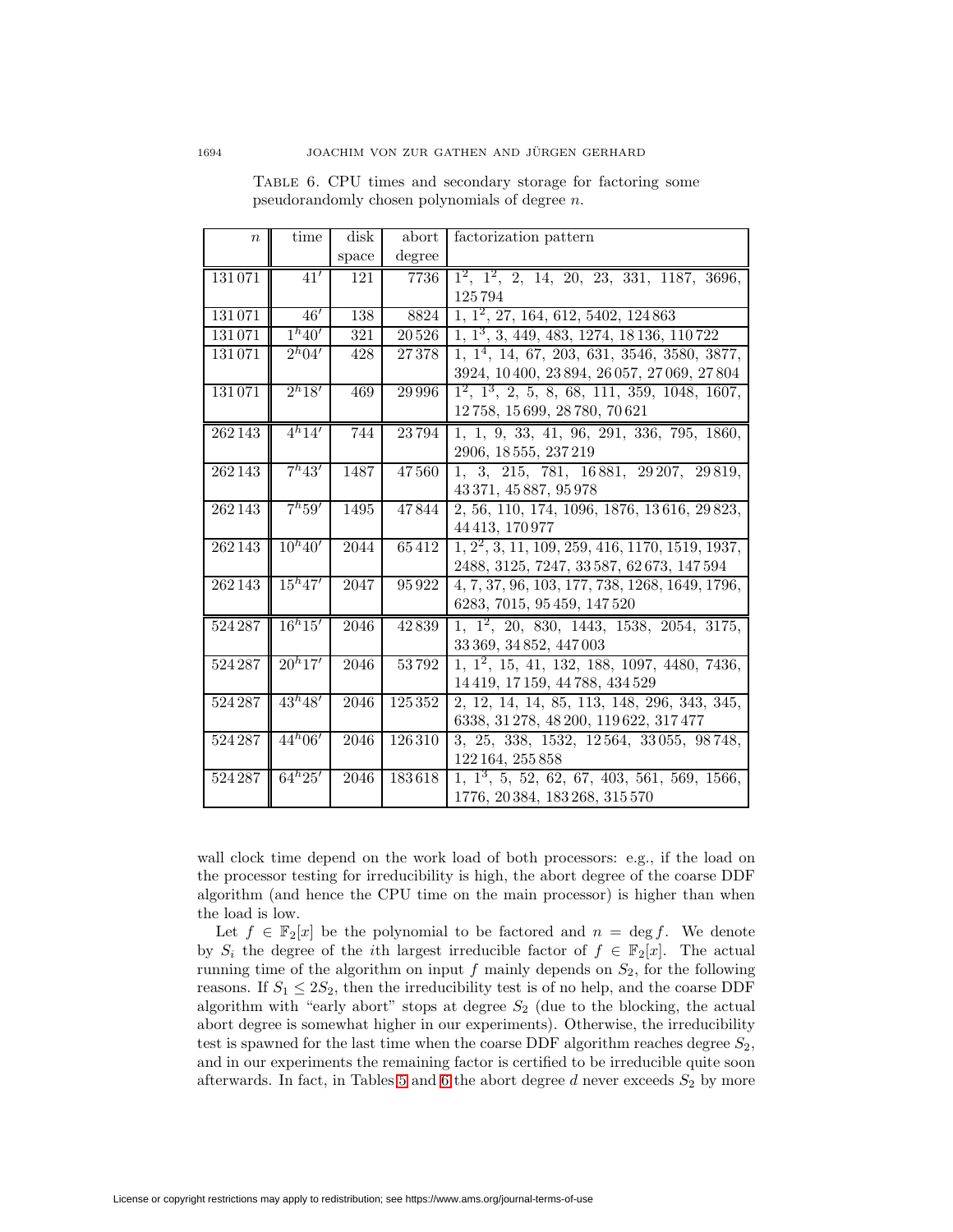| $\boldsymbol{n}$ | time                | disk  | abort             | factorization pattern                                    |
|------------------|---------------------|-------|-------------------|----------------------------------------------------------|
|                  |                     | space | degree            |                                                          |
| 131071           | 41'                 | 121   | 7736              | $1^2$ , $1^2$ , 2, 14, 20, 23, 331, 1187, 3696,          |
|                  |                     |       |                   | 125794                                                   |
| 131071           | 46'                 | 138   | 8824              | $1, 1^2, 27, 164, 612, 5402, 124863$                     |
| 131071           | 1 <sup>h</sup> 40'  | 321   | $\frac{20526}{ }$ | 1, 1 <sup>3</sup> , 3, 449, 483, 1274, 18 136, 110 722   |
| 131071           | $\overline{2^h04'}$ | 428   | 27378             | $1, 1^4, 14, 67, 203, 631, 3546, 3580, 3877,$            |
|                  |                     |       |                   | 3924, 10400, 23894, 26057, 27069, 27804                  |
| 131071           | 2 <sup>h</sup> 18'  | 469   | 29 9 9 6          | $1^2$ , $1^3$ , 2, 5, 8, 68, 111, 359, 1048, 1607,       |
|                  |                     |       |                   | 12758, 15699, 28780, 70621                               |
| 262143           | $4^{h}14'$          | 744   | 23794             | 1, 1, 9, 33, 41, 96, 291, 336, 795, 1860,                |
|                  |                     |       |                   | 2906, 18555, 237219                                      |
| 262143           | $7^{h}43'$          | 1487  | 47560             | 1, 3, 215, 781, 16881, 29207, 29819,                     |
|                  |                     |       |                   | 43 371, 45 887, 95 978                                   |
| 262143           | $7^{h}59'$          | 1495  | 47844             | 2, 56, 110, 174, 1096, 1876, 13616, 29823,               |
|                  |                     |       |                   | 44 413, 170 977                                          |
| 262143           | $10^{h}40'$         | 2044  | 65412             | $1, 2^2, 3, 11, 109, 259, 416, 1170, 1519, 1937,$        |
|                  |                     |       |                   | $2488,\,3125,\,7247,\,33\,587,\,62\,673,\,147\,594$      |
| 262143           | $15^{h}47'$         | 2047  | 95922             | 4, 7, 37, 96, 103, 177, 738, 1268, 1649, 1796,           |
|                  |                     |       |                   | 6283, 7015, 95459, 147520                                |
| 524287           | $16h^{15'}$         | 2046  | 42839             | $1, 1^2, 20, 830, 1443, 1538, 2054, 3175,$               |
|                  |                     |       |                   | 33 369, 34 852, 447 003                                  |
| 524287           | $20^{h}17'$         | 2046  | 53792             | $\overline{1, 1^2, 15, 41, 132, 188, 1097, 4480, 7436,}$ |
|                  |                     |       |                   | 14 419, 17 159, 44 788, 434 529                          |
| 524287           | $43^{h}48'$         | 2046  | 125352            | 2, 12, 14, 14, 85, 113, 148, 296, 343, 345,              |
|                  |                     |       |                   | 6338, 31 278, 48 200, 119 622, 317 477                   |
| 524287           | $44^{h}06'$         | 2046  | 126310            | 3, 25, 338, 1532, 12564, 33055, 98748,                   |
|                  |                     |       |                   | 122 164, 255 858                                         |
| 524287           | $64^{h}25'$         | 2046  | 183618            | $1, 1^3, 5, 52, 62, 67, 403, 561, 569, 1566,$            |
|                  |                     |       |                   | 1776, 20384, 183268, 315570                              |

<span id="page-17-0"></span>Table 6. CPU times and secondary storage for factoring some pseudorandomly chosen polynomials of degree n.

wall clock time depend on the work load of both processors: e.g., if the load on the processor testing for irreducibility is high, the abort degree of the coarse DDF algorithm (and hence the CPU time on the main processor) is higher than when the load is low.

Let  $f \in \mathbb{F}_2[x]$  be the polynomial to be factored and  $n = \deg f$ . We denote by  $S_i$  the degree of the *i*th largest irreducible factor of  $f \in \mathbb{F}_2[x]$ . The actual running time of the algorithm on input f mainly depends on  $S_2$ , for the following reasons. If  $S_1 \leq 2S_2$ , then the irreducibility test is of no help, and the coarse DDF algorithm with "early abort" stops at degree  $S_2$  (due to the blocking, the actual abort degree is somewhat higher in our experiments). Otherwise, the irreducibility test is spawned for the last time when the coarse DDF algorithm reaches degree  $S_2$ , and in our experiments the remaining factor is certified to be irreducible quite soon afterwards. In fact, in Tables [5](#page-16-0) and [6](#page-17-0) the abort degree  $d$  never exceeds  $S_2$  by more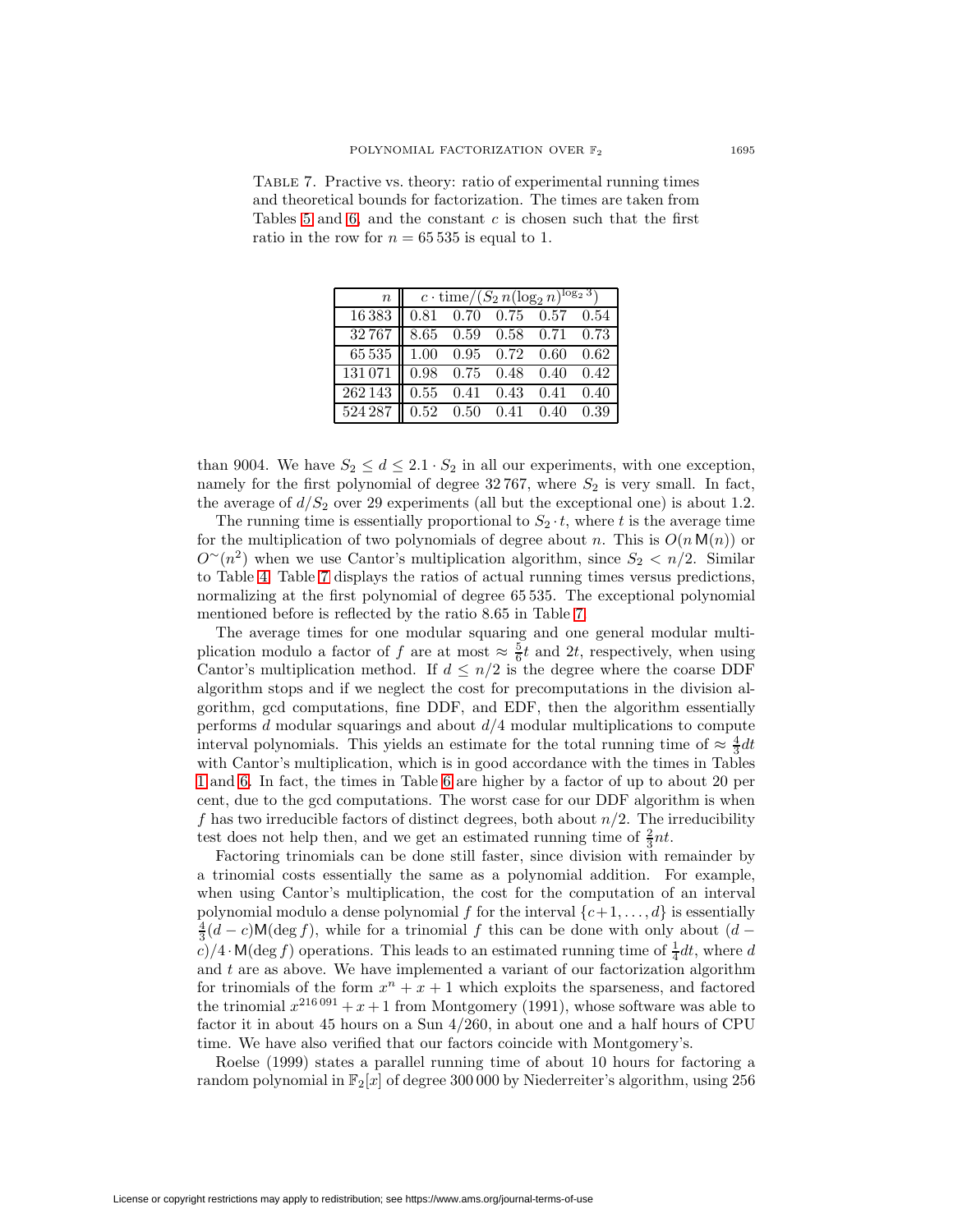<span id="page-18-0"></span>

| TABLE 7. Practive vs. theory: ratio of experimental running times  |
|--------------------------------------------------------------------|
| and theoretical bounds for factorization. The times are taken from |
| Tables 5 and 6, and the constant $c$ is chosen such that the first |
| ratio in the row for $n = 65535$ is equal to 1.                    |

|                                                                     | $n \parallel c \cdot \text{time}/(S_2 n (\log_2 n)^{\log_2 3})$ |  |  |  |  |  |  |
|---------------------------------------------------------------------|-----------------------------------------------------------------|--|--|--|--|--|--|
| $16383$ 0.81 0.70 0.75 0.57 0.54                                    |                                                                 |  |  |  |  |  |  |
| $32\,767$   8.65 0.59 0.58 0.71 0.73                                |                                                                 |  |  |  |  |  |  |
| 65 535 1.00 0.95 0.72 0.60 0.62                                     |                                                                 |  |  |  |  |  |  |
| $\overline{131\,071\parallel}$ 0.98 0.75 0.48 0.40 0.42             |                                                                 |  |  |  |  |  |  |
| $262143 \parallel 0.55 \quad 0.41 \quad 0.43 \quad 0.41 \quad 0.40$ |                                                                 |  |  |  |  |  |  |
| $\overline{524\,287\parallel}$ 0.52 0.50 0.41 0.40 0.39             |                                                                 |  |  |  |  |  |  |

than 9004. We have  $S_2 \leq d \leq 2.1 \cdot S_2$  in all our experiments, with one exception, namely for the first polynomial of degree  $32\,767$ , where  $S_2$  is very small. In fact, the average of  $d/S_2$  over 29 experiments (all but the exceptional one) is about 1.2.

The running time is essentially proportional to  $S_2 \tcdot t$ , where t is the average time for the multiplication of two polynomials of degree about n. This is  $O(n \mathsf{M}(n))$  or  $O<sup>∼</sup>(n<sup>2</sup>)$  when we use Cantor's multiplication algorithm, since  $S_2 < n/2$ . Similar to Table [4,](#page-14-1) Table [7](#page-18-0) displays the ratios of actual running times versus predictions, normalizing at the first polynomial of degree 65 535. The exceptional polynomial mentioned before is reflected by the ratio 8.65 in Table [7.](#page-18-0)

The average times for one modular squaring and one general modular multiplication modulo a factor of f are at most  $\approx \frac{5}{6}t$  and 2t, respectively, when using Cantor's multiplication method. If  $d \leq n/2$  is the degree where the coarse DDF algorithm stops and if we neglect the cost for precomputations in the division algorithm, gcd computations, fine DDF, and EDF, then the algorithm essentially performs  $d$  modular squarings and about  $d/4$  modular multiplications to compute interval polynomials. This yields an estimate for the total running time of  $\approx \frac{4}{3}dt$ with Cantor's multiplication, which is in good accordance with the times in Tables [1](#page-12-0) and [6.](#page-17-0) In fact, the times in Table [6](#page-17-0) are higher by a factor of up to about 20 per cent, due to the gcd computations. The worst case for our DDF algorithm is when f has two irreducible factors of distinct degrees, both about  $n/2$ . The irreducibility test does not help then, and we get an estimated running time of  $\frac{2}{3}nt$ .

Factoring trinomials can be done still faster, since division with remainder by a trinomial costs essentially the same as a polynomial addition. For example, when using Cantor's multiplication, the cost for the computation of an interval polynomial modulo a dense polynomial f for the interval  $\{c+1,\ldots,d\}$  is essentially  $\frac{4}{3}(d-c)\mathsf{M}(\deg f)$ , while for a trinomial f this can be done with only about  $(d-d)$  $c$ / $4 \cdot M(\deg f)$  operations. This leads to an estimated running time of  $\frac{1}{4}dt$ , where d and  $t$  are as above. We have implemented a variant of our factorization algorithm for trinomials of the form  $x^n + x + 1$  which exploits the sparseness, and factored the trinomial  $x^{216\,091} + x + 1$  from Montgomery (1991), whose software was able to factor it in about 45 hours on a Sun 4/260, in about one and a half hours of CPU time. We have also verified that our factors coincide with Montgomery's.

Roelse (1999) states a parallel running time of about 10 hours for factoring a random polynomial in  $\mathbb{F}_2[x]$  of degree 300 000 by Niederreiter's algorithm, using 256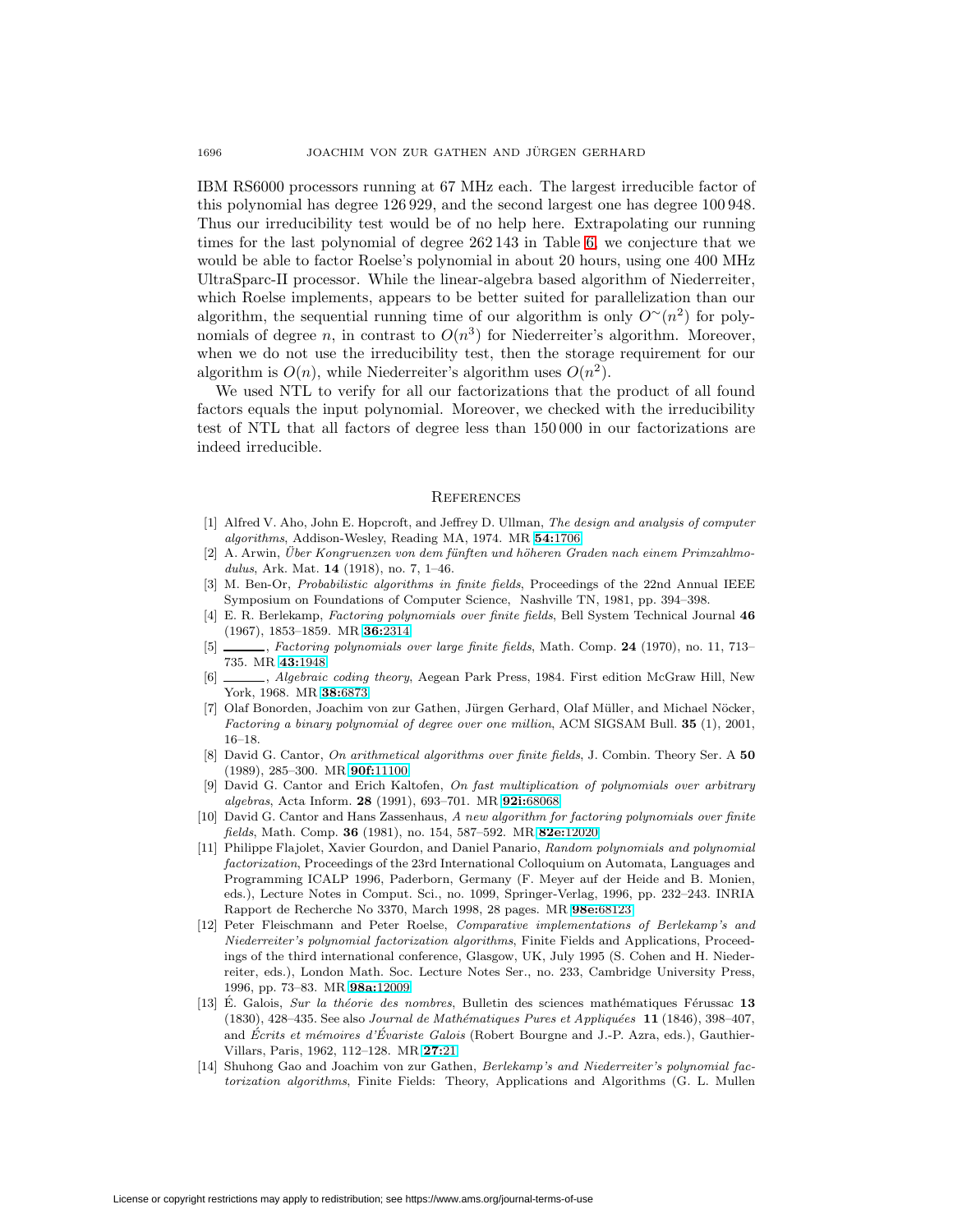IBM RS6000 processors running at 67 MHz each. The largest irreducible factor of this polynomial has degree 126 929, and the second largest one has degree 100 948. Thus our irreducibility test would be of no help here. Extrapolating our running times for the last polynomial of degree 262 143 in Table [6,](#page-17-0) we conjecture that we would be able to factor Roelse's polynomial in about 20 hours, using one 400 MHz UltraSparc-II processor. While the linear-algebra based algorithm of Niederreiter, which Roelse implements, appears to be better suited for parallelization than our algorithm, the sequential running time of our algorithm is only  $O<sup>∼</sup>(n<sup>2</sup>)$  for polynomials of degree n, in contrast to  $O(n^3)$  for Niederreiter's algorithm. Moreover, when we do not use the irreducibility test, then the storage requirement for our algorithm is  $O(n)$ , while Niederreiter's algorithm uses  $O(n^2)$ .

We used NTL to verify for all our factorizations that the product of all found factors equals the input polynomial. Moreover, we checked with the irreducibility test of NTL that all factors of degree less than 150 000 in our factorizations are indeed irreducible.

### **REFERENCES**

- [1] Alfred V. Aho, John E. Hopcroft, and Jeffrey D. Ullman, The design and analysis of computer algorithms, Addison-Wesley, Reading MA, 1974. MR **54:**[1706](http://www.ams.org/mathscinet-getitem?mr=54:1706)
- [2] A. Arwin, Über Kongruenzen von dem fünften und höheren Graden nach einem Primzahlmodulus, Ark. Mat. **14** (1918), no. 7, 1–46.
- [3] M. Ben-Or, Probabilistic algorithms in finite fields, Proceedings of the 22nd Annual IEEE Symposium on Foundations of Computer Science, Nashville TN, 1981, pp. 394–398.
- [4] E. R. Berlekamp, Factoring polynomials over finite fields, Bell System Technical Journal **46** (1967), 1853–1859. MR **36:**[2314](http://www.ams.org/mathscinet-getitem?mr=36:2314)
- [5] , Factoring polynomials over large finite fields, Math. Comp. **24** (1970), no. 11, 713– 735. MR **43:**[1948](http://www.ams.org/mathscinet-getitem?mr=43:1948)
- [6]  $\_\_\_\$ , Algebraic coding theory, Aegean Park Press, 1984. First edition McGraw Hill, New York, 1968. MR **38:**[6873](http://www.ams.org/mathscinet-getitem?mr=38:6873)
- [7] Olaf Bonorden, Joachim von zur Gathen, Jürgen Gerhard, Olaf Müller, and Michael Nöcker, Factoring a binary polynomial of degree over one million, ACM SIGSAM Bull. **35** (1), 2001, 16–18.
- [8] David G. Cantor, On arithmetical algorithms over finite fields, J. Combin. Theory Ser. A **50** (1989), 285–300. MR **90f:**[11100](http://www.ams.org/mathscinet-getitem?mr=90f:11100)
- [9] David G. Cantor and Erich Kaltofen, On fast multiplication of polynomials over arbitrary algebras, Acta Inform. **28** (1991), 693–701. MR **92i:**[68068](http://www.ams.org/mathscinet-getitem?mr=92i:68068)
- [10] David G. Cantor and Hans Zassenhaus, A new algorithm for factoring polynomials over finite fields, Math. Comp. **36** (1981), no. 154, 587–592. MR **82e:**[12020](http://www.ams.org/mathscinet-getitem?mr=82e:12020)
- [11] Philippe Flajolet, Xavier Gourdon, and Daniel Panario, Random polynomials and polynomial factorization, Proceedings of the 23rd International Colloquium on Automata, Languages and Programming ICALP 1996, Paderborn, Germany (F. Meyer auf der Heide and B. Monien, eds.), Lecture Notes in Comput. Sci., no. 1099, Springer-Verlag, 1996, pp. 232–243. INRIA Rapport de Recherche No 3370, March 1998, 28 pages. MR **98e:**[68123](http://www.ams.org/mathscinet-getitem?mr=98e:68123)
- [12] Peter Fleischmann and Peter Roelse, Comparative implementations of Berlekamp's and Niederreiter's polynomial factorization algorithms, Finite Fields and Applications, Proceedings of the third international conference, Glasgow, UK, July 1995 (S. Cohen and H. Niederreiter, eds.), London Math. Soc. Lecture Notes Ser., no. 233, Cambridge University Press, 1996, pp. 73–83. MR **98a:**[12009](http://www.ams.org/mathscinet-getitem?mr=98a:12009)
- [13] É. Galois, Sur la théorie des nombres, Bulletin des sciences mathématiques Férussac 13 (1830), 428–435. See also Journal de Math´ematiques Pures et Appliqu´ees **11** (1846), 398–407, and Ecrits et mémoires d'Evariste Galois (Robert Bourgne and J.-P. Azra, eds.), Gauthier-Villars, Paris, 1962, 112–128. MR **[27:](http://www.ams.org/mathscinet-getitem?mr=27:21)**21
- [14] Shuhong Gao and Joachim von zur Gathen, Berlekamp's and Niederreiter's polynomial factorization algorithms, Finite Fields: Theory, Applications and Algorithms (G. L. Mullen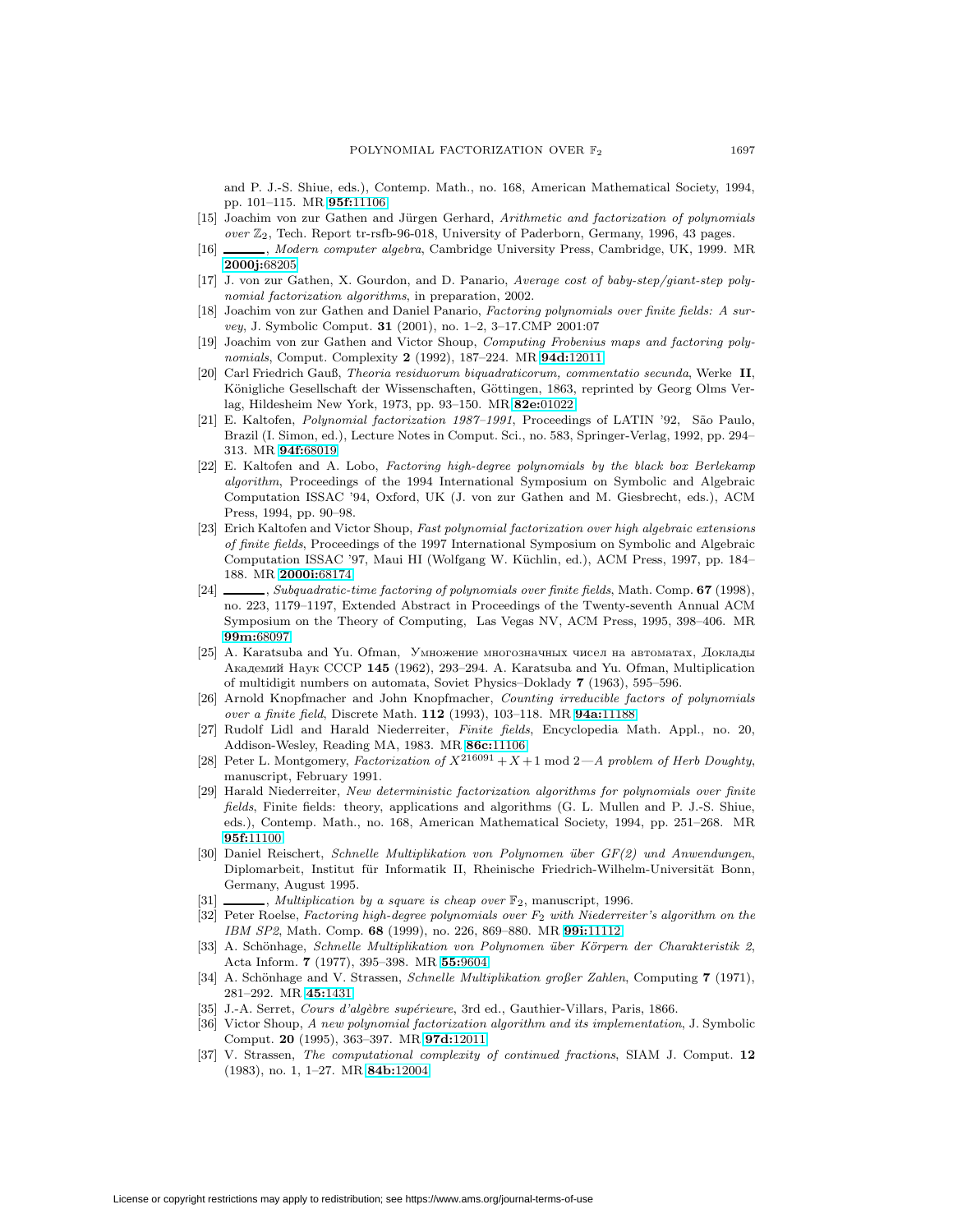and P. J.-S. Shiue, eds.), Contemp. Math., no. 168, American Mathematical Society, 1994, pp. 101–115. MR **95f:**[11106](http://www.ams.org/mathscinet-getitem?mr=95f:11106)

- [15] Joachim von zur Gathen and Jürgen Gerhard, Arithmetic and factorization of polynomials over  $\mathbb{Z}_2$ , Tech. Report tr-rsfb-96-018, University of Paderborn, Germany, 1996, 43 pages.
- [16] , Modern computer algebra, Cambridge University Press, Cambridge, UK, 1999. MR **[2000j:](http://www.ams.org/mathscinet-getitem?mr=2000j:68205)**68205
- [17] J. von zur Gathen, X. Gourdon, and D. Panario, Average cost of baby-step/giant-step polynomial factorization algorithms, in preparation, 2002.
- [18] Joachim von zur Gathen and Daniel Panario, Factoring polynomials over finite fields: A survey, J. Symbolic Comput. **31** (2001), no. 1–2, 3–17.CMP 2001:07
- [19] Joachim von zur Gathen and Victor Shoup, Computing Frobenius maps and factoring polynomials, Comput. Complexity **2** (1992), 187–224. MR **94d:**[12011](http://www.ams.org/mathscinet-getitem?mr=94d:12011)
- [20] Carl Friedrich Gauß, Theoria residuorum biquadraticorum, commentatio secunda, Werke **II**, Königliche Gesellschaft der Wissenschaften, Göttingen, 1863, reprinted by Georg Olms Verlag, Hildesheim New York, 1973, pp. 93–150. MR **82e:**[01022](http://www.ams.org/mathscinet-getitem?mr=82e:01022)
- [21] E. Kaltofen, *Polynomial factorization 1987–1991*, Proceedings of LATIN '92, São Paulo, Brazil (I. Simon, ed.), Lecture Notes in Comput. Sci., no. 583, Springer-Verlag, 1992, pp. 294– 313. MR **94f:**[68019](http://www.ams.org/mathscinet-getitem?mr=94f:68019)
- [22] E. Kaltofen and A. Lobo, Factoring high-degree polynomials by the black box Berlekamp algorithm, Proceedings of the 1994 International Symposium on Symbolic and Algebraic Computation ISSAC '94, Oxford, UK (J. von zur Gathen and M. Giesbrecht, eds.), ACM Press, 1994, pp. 90–98.
- [23] Erich Kaltofen and Victor Shoup, Fast polynomial factorization over high algebraic extensions of finite fields, Proceedings of the 1997 International Symposium on Symbolic and Algebraic Computation ISSAC '97, Maui HI (Wolfgang W. Küchlin, ed.), ACM Press, 1997, pp. 184– 188. MR **[2000i:](http://www.ams.org/mathscinet-getitem?mr=2000i:68174)**68174
- [24] , Subquadratic-time factoring of polynomials over finite fields, Math. Comp. **67** (1998), no. 223, 1179–1197, Extended Abstract in Proceedings of the Twenty-seventh Annual ACM Symposium on the Theory of Computing, Las Vegas NV, ACM Press, 1995, 398–406. MR **99m:**[68097](http://www.ams.org/mathscinet-getitem?mr=99m:68097)
- $[25]$  A. Karatsuba and Yu. Ofman, Умножение многозначных чисел на автоматах, Доклады Академий Наук СССР 145 (1962), 293–294. A. Karatsuba and Yu. Ofman, Multiplication of multidigit numbers on automata, Soviet Physics–Doklady **7** (1963), 595–596.
- [26] Arnold Knopfmacher and John Knopfmacher, Counting irreducible factors of polynomials over a finite field, Discrete Math. **112** (1993), 103–118. MR **94a:**[11188](http://www.ams.org/mathscinet-getitem?mr=94a:11188)
- [27] Rudolf Lidl and Harald Niederreiter, Finite fields, Encyclopedia Math. Appl., no. 20, Addison-Wesley, Reading MA, 1983. MR **86c:**[11106](http://www.ams.org/mathscinet-getitem?mr=86c:11106)
- [28] Peter L. Montgomery, Factorization of  $X^{216091} + X + 1$  mod  $2-A$  problem of Herb Doughty, manuscript, February 1991.
- [29] Harald Niederreiter, New deterministic factorization algorithms for polynomials over finite fields, Finite fields: theory, applications and algorithms (G. L. Mullen and P. J.-S. Shiue, eds.), Contemp. Math., no. 168, American Mathematical Society, 1994, pp. 251–268. MR **95f:**[11100](http://www.ams.org/mathscinet-getitem?mr=95f:11100)
- [30] Daniel Reischert, Schnelle Multiplikation von Polynomen über GF(2) und Anwendungen, Diplomarbeit, Institut für Informatik II, Rheinische Friedrich-Wilhelm-Universität Bonn, Germany, August 1995.
- [31]  $\_\_\_\_\_\_\$ , Multiplication by a square is cheap over  $\mathbb{F}_2$ , manuscript, 1996.
- [32] Peter Roelse, Factoring high-degree polynomials over  $F_2$  with Niederreiter's algorithm on the IBM SP2, Math. Comp. **68** (1999), no. 226, 869–880. MR **99i:**[11112](http://www.ams.org/mathscinet-getitem?mr=99i:11112)
- [33] A. Schönhage, Schnelle Multiplikation von Polynomen über Körpern der Charakteristik 2, Acta Inform. **7** (1977), 395–398. MR **55:**[9604](http://www.ams.org/mathscinet-getitem?mr=55:9604)
- [34] A. Schönhage and V. Strassen, Schnelle Multiplikation großer Zahlen, Computing **7** (1971), 281–292. MR **45:**[1431](http://www.ams.org/mathscinet-getitem?mr=45:1431)
- [35] J.-A. Serret, Cours d'algèbre supérieure, 3rd ed., Gauthier-Villars, Paris, 1866.
- [36] Victor Shoup, A new polynomial factorization algorithm and its implementation, J. Symbolic Comput. **20** (1995), 363–397. MR **97d:**[12011](http://www.ams.org/mathscinet-getitem?mr=97d:12011)
- [37] V. Strassen, The computational complexity of continued fractions, SIAM J. Comput. **12** (1983), no. 1, 1–27. MR **84b:**[12004](http://www.ams.org/mathscinet-getitem?mr=84b:12004)